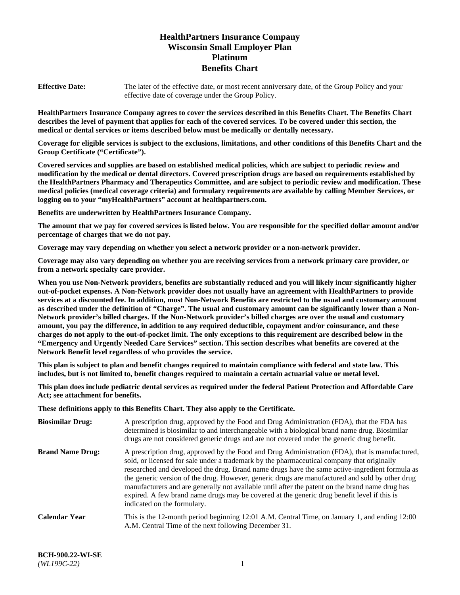# **HealthPartners Insurance Company Wisconsin Small Employer Plan Platinum Benefits Chart**

**Effective Date:** The later of the effective date, or most recent anniversary date, of the Group Policy and your effective date of coverage under the Group Policy.

**HealthPartners Insurance Company agrees to cover the services described in this Benefits Chart. The Benefits Chart describes the level of payment that applies for each of the covered services. To be covered under this section, the medical or dental services or items described below must be medically or dentally necessary.**

**Coverage for eligible services is subject to the exclusions, limitations, and other conditions of this Benefits Chart and the Group Certificate ("Certificate").**

**Covered services and supplies are based on established medical policies, which are subject to periodic review and modification by the medical or dental directors. Covered prescription drugs are based on requirements established by the HealthPartners Pharmacy and Therapeutics Committee, and are subject to periodic review and modification. These medical policies (medical coverage criteria) and formulary requirements are available by calling Member Services, or logging on to your "myHealthPartners" account at [healthpartners.com.](https://www.healthpartners.com/hp/index.html)** 

**Benefits are underwritten by HealthPartners Insurance Company.**

**The amount that we pay for covered services is listed below. You are responsible for the specified dollar amount and/or percentage of charges that we do not pay.**

**Coverage may vary depending on whether you select a network provider or a non-network provider.**

**Coverage may also vary depending on whether you are receiving services from a network primary care provider, or from a network specialty care provider.**

**When you use Non-Network providers, benefits are substantially reduced and you will likely incur significantly higher out-of-pocket expenses. A Non-Network provider does not usually have an agreement with HealthPartners to provide services at a discounted fee. In addition, most Non-Network Benefits are restricted to the usual and customary amount as described under the definition of "Charge". The usual and customary amount can be significantly lower than a Non-Network provider's billed charges. If the Non-Network provider's billed charges are over the usual and customary amount, you pay the difference, in addition to any required deductible, copayment and/or coinsurance, and these charges do not apply to the out-of-pocket limit. The only exceptions to this requirement are described below in the "Emergency and Urgently Needed Care Services" section. This section describes what benefits are covered at the Network Benefit level regardless of who provides the service.**

**This plan is subject to plan and benefit changes required to maintain compliance with federal and state law. This includes, but is not limited to, benefit changes required to maintain a certain actuarial value or metal level.**

**This plan does include pediatric dental services as required under the federal Patient Protection and Affordable Care Act; see attachment for benefits.**

**These definitions apply to this Benefits Chart. They also apply to the Certificate.**

| <b>Biosimilar Drug:</b> | A prescription drug, approved by the Food and Drug Administration (FDA), that the FDA has<br>determined is biosimilar to and interchangeable with a biological brand name drug. Biosimilar<br>drugs are not considered generic drugs and are not covered under the generic drug benefit.                                                                                                                                                                                                                                                                                                                                           |
|-------------------------|------------------------------------------------------------------------------------------------------------------------------------------------------------------------------------------------------------------------------------------------------------------------------------------------------------------------------------------------------------------------------------------------------------------------------------------------------------------------------------------------------------------------------------------------------------------------------------------------------------------------------------|
| <b>Brand Name Drug:</b> | A prescription drug, approved by the Food and Drug Administration (FDA), that is manufactured,<br>sold, or licensed for sale under a trademark by the pharmaceutical company that originally<br>researched and developed the drug. Brand name drugs have the same active-ingredient formula as<br>the generic version of the drug. However, generic drugs are manufactured and sold by other drug<br>manufacturers and are generally not available until after the patent on the brand name drug has<br>expired. A few brand name drugs may be covered at the generic drug benefit level if this is<br>indicated on the formulary. |
| <b>Calendar Year</b>    | This is the 12-month period beginning 12:01 A.M. Central Time, on January 1, and ending 12:00<br>A.M. Central Time of the next following December 31.                                                                                                                                                                                                                                                                                                                                                                                                                                                                              |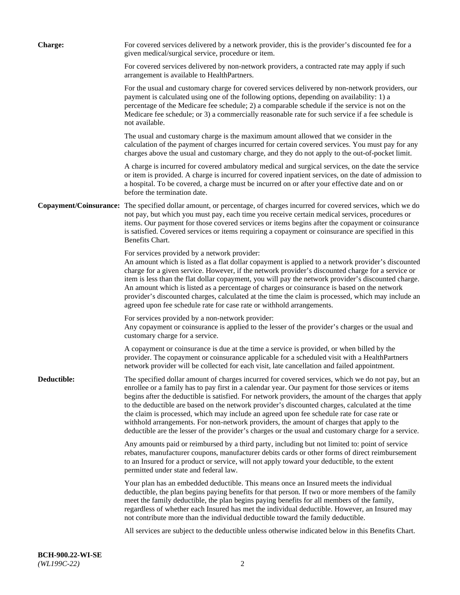| <b>Charge:</b> | For covered services delivered by a network provider, this is the provider's discounted fee for a<br>given medical/surgical service, procedure or item.                                                                                                                                                                                                                                                                                                                                                                                                                                                                                                                                                                 |
|----------------|-------------------------------------------------------------------------------------------------------------------------------------------------------------------------------------------------------------------------------------------------------------------------------------------------------------------------------------------------------------------------------------------------------------------------------------------------------------------------------------------------------------------------------------------------------------------------------------------------------------------------------------------------------------------------------------------------------------------------|
|                | For covered services delivered by non-network providers, a contracted rate may apply if such<br>arrangement is available to HealthPartners.                                                                                                                                                                                                                                                                                                                                                                                                                                                                                                                                                                             |
|                | For the usual and customary charge for covered services delivered by non-network providers, our<br>payment is calculated using one of the following options, depending on availability: 1) a<br>percentage of the Medicare fee schedule; 2) a comparable schedule if the service is not on the<br>Medicare fee schedule; or 3) a commercially reasonable rate for such service if a fee schedule is<br>not available.                                                                                                                                                                                                                                                                                                   |
|                | The usual and customary charge is the maximum amount allowed that we consider in the<br>calculation of the payment of charges incurred for certain covered services. You must pay for any<br>charges above the usual and customary charge, and they do not apply to the out-of-pocket limit.                                                                                                                                                                                                                                                                                                                                                                                                                            |
|                | A charge is incurred for covered ambulatory medical and surgical services, on the date the service<br>or item is provided. A charge is incurred for covered inpatient services, on the date of admission to<br>a hospital. To be covered, a charge must be incurred on or after your effective date and on or<br>before the termination date.                                                                                                                                                                                                                                                                                                                                                                           |
|                | Copayment/Coinsurance: The specified dollar amount, or percentage, of charges incurred for covered services, which we do<br>not pay, but which you must pay, each time you receive certain medical services, procedures or<br>items. Our payment for those covered services or items begins after the copayment or coinsurance<br>is satisfied. Covered services or items requiring a copayment or coinsurance are specified in this<br>Benefits Chart.                                                                                                                                                                                                                                                                 |
|                | For services provided by a network provider:<br>An amount which is listed as a flat dollar copayment is applied to a network provider's discounted<br>charge for a given service. However, if the network provider's discounted charge for a service or<br>item is less than the flat dollar copayment, you will pay the network provider's discounted charge.<br>An amount which is listed as a percentage of charges or coinsurance is based on the network<br>provider's discounted charges, calculated at the time the claim is processed, which may include an<br>agreed upon fee schedule rate for case rate or withhold arrangements.                                                                            |
|                | For services provided by a non-network provider:<br>Any copayment or coinsurance is applied to the lesser of the provider's charges or the usual and<br>customary charge for a service.                                                                                                                                                                                                                                                                                                                                                                                                                                                                                                                                 |
|                | A copayment or coinsurance is due at the time a service is provided, or when billed by the<br>provider. The copayment or coinsurance applicable for a scheduled visit with a HealthPartners<br>network provider will be collected for each visit, late cancellation and failed appointment.                                                                                                                                                                                                                                                                                                                                                                                                                             |
| Deductible:    | The specified dollar amount of charges incurred for covered services, which we do not pay, but an<br>enrollee or a family has to pay first in a calendar year. Our payment for those services or items<br>begins after the deductible is satisfied. For network providers, the amount of the charges that apply<br>to the deductible are based on the network provider's discounted charges, calculated at the time<br>the claim is processed, which may include an agreed upon fee schedule rate for case rate or<br>withhold arrangements. For non-network providers, the amount of charges that apply to the<br>deductible are the lesser of the provider's charges or the usual and customary charge for a service. |
|                | Any amounts paid or reimbursed by a third party, including but not limited to: point of service<br>rebates, manufacturer coupons, manufacturer debits cards or other forms of direct reimbursement<br>to an Insured for a product or service, will not apply toward your deductible, to the extent<br>permitted under state and federal law.                                                                                                                                                                                                                                                                                                                                                                            |
|                | Your plan has an embedded deductible. This means once an Insured meets the individual<br>deductible, the plan begins paying benefits for that person. If two or more members of the family<br>meet the family deductible, the plan begins paying benefits for all members of the family,<br>regardless of whether each Insured has met the individual deductible. However, an Insured may<br>not contribute more than the individual deductible toward the family deductible.                                                                                                                                                                                                                                           |
|                | All services are subject to the deductible unless otherwise indicated below in this Benefits Chart.                                                                                                                                                                                                                                                                                                                                                                                                                                                                                                                                                                                                                     |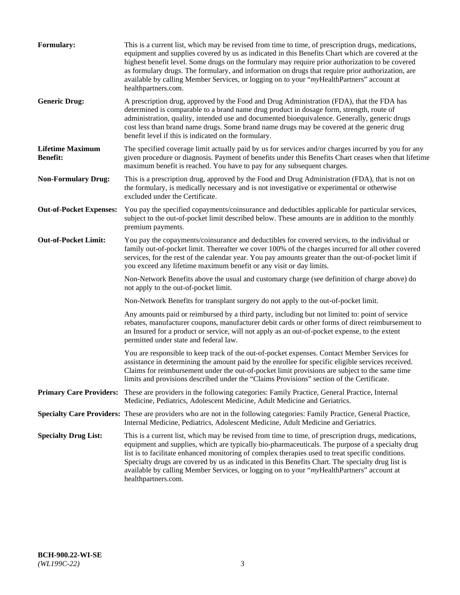| Formulary:                                 | This is a current list, which may be revised from time to time, of prescription drugs, medications,<br>equipment and supplies covered by us as indicated in this Benefits Chart which are covered at the<br>highest benefit level. Some drugs on the formulary may require prior authorization to be covered<br>as formulary drugs. The formulary, and information on drugs that require prior authorization, are<br>available by calling Member Services, or logging on to your "myHealthPartners" account at<br>healthpartners.com. |
|--------------------------------------------|---------------------------------------------------------------------------------------------------------------------------------------------------------------------------------------------------------------------------------------------------------------------------------------------------------------------------------------------------------------------------------------------------------------------------------------------------------------------------------------------------------------------------------------|
| <b>Generic Drug:</b>                       | A prescription drug, approved by the Food and Drug Administration (FDA), that the FDA has<br>determined is comparable to a brand name drug product in dosage form, strength, route of<br>administration, quality, intended use and documented bioequivalence. Generally, generic drugs<br>cost less than brand name drugs. Some brand name drugs may be covered at the generic drug<br>benefit level if this is indicated on the formulary.                                                                                           |
| <b>Lifetime Maximum</b><br><b>Benefit:</b> | The specified coverage limit actually paid by us for services and/or charges incurred by you for any<br>given procedure or diagnosis. Payment of benefits under this Benefits Chart ceases when that lifetime<br>maximum benefit is reached. You have to pay for any subsequent charges.                                                                                                                                                                                                                                              |
| <b>Non-Formulary Drug:</b>                 | This is a prescription drug, approved by the Food and Drug Administration (FDA), that is not on<br>the formulary, is medically necessary and is not investigative or experimental or otherwise<br>excluded under the Certificate.                                                                                                                                                                                                                                                                                                     |
| <b>Out-of-Pocket Expenses:</b>             | You pay the specified copayments/coinsurance and deductibles applicable for particular services,<br>subject to the out-of-pocket limit described below. These amounts are in addition to the monthly<br>premium payments.                                                                                                                                                                                                                                                                                                             |
| <b>Out-of-Pocket Limit:</b>                | You pay the copayments/coinsurance and deductibles for covered services, to the individual or<br>family out-of-pocket limit. Thereafter we cover 100% of the charges incurred for all other covered<br>services, for the rest of the calendar year. You pay amounts greater than the out-of-pocket limit if<br>you exceed any lifetime maximum benefit or any visit or day limits.                                                                                                                                                    |
|                                            | Non-Network Benefits above the usual and customary charge (see definition of charge above) do<br>not apply to the out-of-pocket limit.                                                                                                                                                                                                                                                                                                                                                                                                |
|                                            | Non-Network Benefits for transplant surgery do not apply to the out-of-pocket limit.                                                                                                                                                                                                                                                                                                                                                                                                                                                  |
|                                            | Any amounts paid or reimbursed by a third party, including but not limited to: point of service<br>rebates, manufacturer coupons, manufacturer debit cards or other forms of direct reimbursement to<br>an Insured for a product or service, will not apply as an out-of-pocket expense, to the extent<br>permitted under state and federal law.                                                                                                                                                                                      |
|                                            | You are responsible to keep track of the out-of-pocket expenses. Contact Member Services for<br>assistance in determining the amount paid by the enrollee for specific eligible services received.<br>Claims for reimbursement under the out-of-pocket limit provisions are subject to the same time<br>limits and provisions described under the "Claims Provisions" section of the Certificate.                                                                                                                                     |
| <b>Primary Care Providers:</b>             | These are providers in the following categories: Family Practice, General Practice, Internal<br>Medicine, Pediatrics, Adolescent Medicine, Adult Medicine and Geriatrics.                                                                                                                                                                                                                                                                                                                                                             |
|                                            | Specialty Care Providers: These are providers who are not in the following categories: Family Practice, General Practice,<br>Internal Medicine, Pediatrics, Adolescent Medicine, Adult Medicine and Geriatrics.                                                                                                                                                                                                                                                                                                                       |
| <b>Specialty Drug List:</b>                | This is a current list, which may be revised from time to time, of prescription drugs, medications,<br>equipment and supplies, which are typically bio-pharmaceuticals. The purpose of a specialty drug<br>list is to facilitate enhanced monitoring of complex therapies used to treat specific conditions.<br>Specialty drugs are covered by us as indicated in this Benefits Chart. The specialty drug list is<br>available by calling Member Services, or logging on to your "myHealthPartners" account at<br>healthpartners.com. |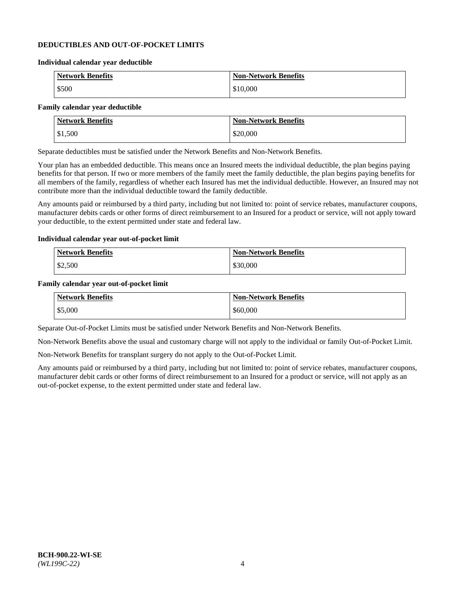### **DEDUCTIBLES AND OUT-OF-POCKET LIMITS**

#### **Individual calendar year deductible**

| <b>Network Benefits</b> | <b>Non-Network Benefits</b> |
|-------------------------|-----------------------------|
| \$500                   | \$10,000                    |

#### **Family calendar year deductible**

| <b>Network Benefits</b> | <b>Non-Network Benefits</b> |
|-------------------------|-----------------------------|
| \$1,500                 | \$20,000                    |

Separate deductibles must be satisfied under the Network Benefits and Non-Network Benefits.

Your plan has an embedded deductible. This means once an Insured meets the individual deductible, the plan begins paying benefits for that person. If two or more members of the family meet the family deductible, the plan begins paying benefits for all members of the family, regardless of whether each Insured has met the individual deductible. However, an Insured may not contribute more than the individual deductible toward the family deductible.

Any amounts paid or reimbursed by a third party, including but not limited to: point of service rebates, manufacturer coupons, manufacturer debits cards or other forms of direct reimbursement to an Insured for a product or service, will not apply toward your deductible, to the extent permitted under state and federal law.

#### **Individual calendar year out-of-pocket limit**

| Network Benefits | Non-Network Benefits |
|------------------|----------------------|
| $\$2,500$        | \$30,000             |

#### **Family calendar year out-of-pocket limit**

| <b>Network Benefits</b> | <b>Non-Network Benefits</b> |
|-------------------------|-----------------------------|
| \$5,000                 | \$60,000                    |

Separate Out-of-Pocket Limits must be satisfied under Network Benefits and Non-Network Benefits.

Non-Network Benefits above the usual and customary charge will not apply to the individual or family Out-of-Pocket Limit.

Non-Network Benefits for transplant surgery do not apply to the Out-of-Pocket Limit.

Any amounts paid or reimbursed by a third party, including but not limited to: point of service rebates, manufacturer coupons, manufacturer debit cards or other forms of direct reimbursement to an Insured for a product or service, will not apply as an out-of-pocket expense, to the extent permitted under state and federal law.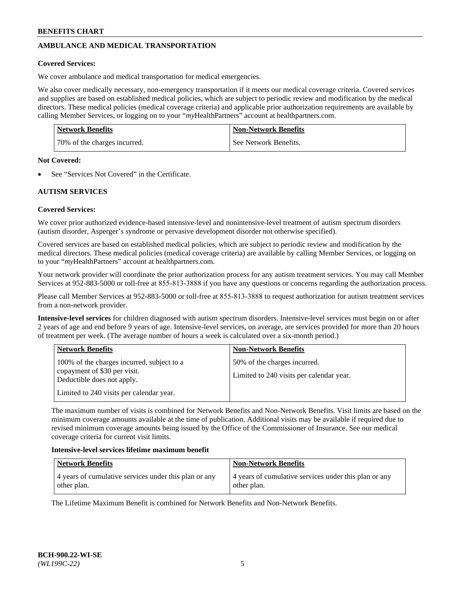# **AMBULANCE AND MEDICAL TRANSPORTATION**

### **Covered Services:**

We cover ambulance and medical transportation for medical emergencies.

We also cover medically necessary, non-emergency transportation if it meets our medical coverage criteria. Covered services and supplies are based on established medical policies, which are subject to periodic review and modification by the medical directors. These medical policies (medical coverage criteria) and applicable prior authorization requirements are available by calling Member Services, or logging on to your "*my*HealthPartners" account a[t healthpartners.com.](https://www.healthpartners.com/hp/index.html)

| <b>Network Benefits</b>      | <b>Non-Network Benefits</b> |
|------------------------------|-----------------------------|
| 70% of the charges incurred. | See Network Benefits.       |

#### **Not Covered:**

See "Services Not Covered" in the Certificate.

## **AUTISM SERVICES**

## **Covered Services:**

We cover prior authorized evidence-based intensive-level and nonintensive-level treatment of autism spectrum disorders (autism disorder, Asperger's syndrome or pervasive development disorder not otherwise specified).

Covered services are based on established medical policies, which are subject to periodic review and modification by the medical directors. These medical policies (medical coverage criteria) are available by calling Member Services, or logging on to your "*my*HealthPartners" account at [healthpartners.com.](https://www.healthpartners.com/hp/index.html)

Your network provider will coordinate the prior authorization process for any autism treatment services. You may call Member Services at 952-883-5000 or toll-free at 855-813-3888 if you have any questions or concerns regarding the authorization process.

Please call Member Services at 952-883-5000 or toll-free at 855-813-3888 to request authorization for autism treatment services from a non-network provider.

**Intensive-level services** for children diagnosed with autism spectrum disorders. Intensive-level services must begin on or after 2 years of age and end before 9 years of age. Intensive-level services, on average, are services provided for more than 20 hours of treatment per week. (The average number of hours a week is calculated over a six-month period.)

| <b>Network Benefits</b>                                                                                                                              | <b>Non-Network Benefits</b>                                              |
|------------------------------------------------------------------------------------------------------------------------------------------------------|--------------------------------------------------------------------------|
| 100% of the charges incurred, subject to a<br>copayment of \$30 per visit.<br>Deductible does not apply.<br>Limited to 240 visits per calendar year. | 50% of the charges incurred.<br>Limited to 240 visits per calendar year. |

The maximum number of visits is combined for Network Benefits and Non-Network Benefits. Visit limits are based on the minimum coverage amounts available at the time of publication. Additional visits may be available if required due to revised minimum coverage amounts being issued by the Office of the Commissioner of Insurance. See our medical coverage criteria for current visit limits.

#### **Intensive-level services lifetime maximum benefit**

| Network Benefits                                                     | <b>Non-Network Benefits</b>                                          |
|----------------------------------------------------------------------|----------------------------------------------------------------------|
| 4 years of cumulative services under this plan or any<br>other plan. | 4 years of cumulative services under this plan or any<br>other plan. |

The Lifetime Maximum Benefit is combined for Network Benefits and Non-Network Benefits.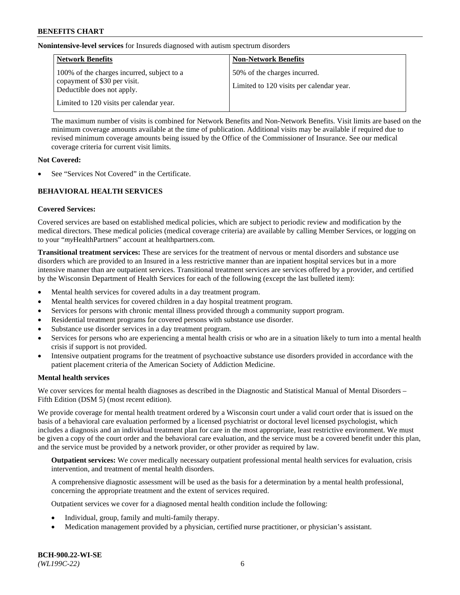**Nonintensive-level services** for Insureds diagnosed with autism spectrum disorders

| <b>Network Benefits</b>                                                                                  | <b>Non-Network Benefits</b>                                              |
|----------------------------------------------------------------------------------------------------------|--------------------------------------------------------------------------|
| 100% of the charges incurred, subject to a<br>copayment of \$30 per visit.<br>Deductible does not apply. | 50% of the charges incurred.<br>Limited to 120 visits per calendar year. |
| Limited to 120 visits per calendar year.                                                                 |                                                                          |

The maximum number of visits is combined for Network Benefits and Non-Network Benefits. Visit limits are based on the minimum coverage amounts available at the time of publication. Additional visits may be available if required due to revised minimum coverage amounts being issued by the Office of the Commissioner of Insurance. See our medical coverage criteria for current visit limits.

### **Not Covered:**

See "Services Not Covered" in the Certificate.

## **BEHAVIORAL HEALTH SERVICES**

## **Covered Services:**

Covered services are based on established medical policies, which are subject to periodic review and modification by the medical directors. These medical policies (medical coverage criteria) are available by calling Member Services, or logging on to your "*my*HealthPartners" account at [healthpartners.com.](https://www.healthpartners.com/hp/index.html)

**Transitional treatment services:** These are services for the treatment of nervous or mental disorders and substance use disorders which are provided to an Insured in a less restrictive manner than are inpatient hospital services but in a more intensive manner than are outpatient services. Transitional treatment services are services offered by a provider, and certified by the Wisconsin Department of Health Services for each of the following (except the last bulleted item):

- Mental health services for covered adults in a day treatment program.
- Mental health services for covered children in a day hospital treatment program.
- Services for persons with chronic mental illness provided through a community support program.
- Residential treatment programs for covered persons with substance use disorder.
- Substance use disorder services in a day treatment program.
- Services for persons who are experiencing a mental health crisis or who are in a situation likely to turn into a mental health crisis if support is not provided.
- Intensive outpatient programs for the treatment of psychoactive substance use disorders provided in accordance with the patient placement criteria of the American Society of Addiction Medicine.

## **Mental health services**

We cover services for mental health diagnoses as described in the Diagnostic and Statistical Manual of Mental Disorders – Fifth Edition (DSM 5) (most recent edition).

We provide coverage for mental health treatment ordered by a Wisconsin court under a valid court order that is issued on the basis of a behavioral care evaluation performed by a licensed psychiatrist or doctoral level licensed psychologist, which includes a diagnosis and an individual treatment plan for care in the most appropriate, least restrictive environment. We must be given a copy of the court order and the behavioral care evaluation, and the service must be a covered benefit under this plan, and the service must be provided by a network provider, or other provider as required by law.

**Outpatient services:** We cover medically necessary outpatient professional mental health services for evaluation, crisis intervention, and treatment of mental health disorders.

A comprehensive diagnostic assessment will be used as the basis for a determination by a mental health professional, concerning the appropriate treatment and the extent of services required.

Outpatient services we cover for a diagnosed mental health condition include the following:

- Individual, group, family and multi-family therapy.
- Medication management provided by a physician, certified nurse practitioner, or physician's assistant.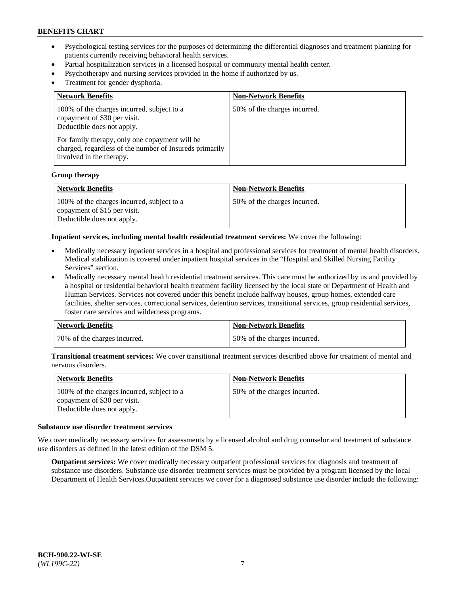- Psychological testing services for the purposes of determining the differential diagnoses and treatment planning for patients currently receiving behavioral health services.
- Partial hospitalization services in a licensed hospital or community mental health center.
- Psychotherapy and nursing services provided in the home if authorized by us.
- Treatment for gender dysphoria.

| <b>Network Benefits</b>                                                                                                                                                                                                                           | <b>Non-Network Benefits</b>  |
|---------------------------------------------------------------------------------------------------------------------------------------------------------------------------------------------------------------------------------------------------|------------------------------|
| 100% of the charges incurred, subject to a<br>copayment of \$30 per visit.<br>Deductible does not apply.<br>For family therapy, only one copayment will be<br>charged, regardless of the number of Insureds primarily<br>involved in the therapy. | 50% of the charges incurred. |

#### **Group therapy**

| Network Benefits                                                                                         | <b>Non-Network Benefits</b>  |
|----------------------------------------------------------------------------------------------------------|------------------------------|
| 100% of the charges incurred, subject to a<br>copayment of \$15 per visit.<br>Deductible does not apply. | 50% of the charges incurred. |

**Inpatient services, including mental health residential treatment services:** We cover the following:

- Medically necessary inpatient services in a hospital and professional services for treatment of mental health disorders. Medical stabilization is covered under inpatient hospital services in the "Hospital and Skilled Nursing Facility Services" section.
- Medically necessary mental health residential treatment services. This care must be authorized by us and provided by a hospital or residential behavioral health treatment facility licensed by the local state or Department of Health and Human Services. Services not covered under this benefit include halfway houses, group homes, extended care facilities, shelter services, correctional services, detention services, transitional services, group residential services, foster care services and wilderness programs.

| <b>Network Benefits</b>      | Non-Network Benefits         |
|------------------------------|------------------------------|
| 70% of the charges incurred. | 50% of the charges incurred. |

**Transitional treatment services:** We cover transitional treatment services described above for treatment of mental and nervous disorders.

| Network Benefits                                                                                         | <b>Non-Network Benefits</b>  |
|----------------------------------------------------------------------------------------------------------|------------------------------|
| 100% of the charges incurred, subject to a<br>copayment of \$30 per visit.<br>Deductible does not apply. | 50% of the charges incurred. |

#### **Substance use disorder treatment services**

We cover medically necessary services for assessments by a licensed alcohol and drug counselor and treatment of substance use disorders as defined in the latest edition of the DSM 5.

**Outpatient services:** We cover medically necessary outpatient professional services for diagnosis and treatment of substance use disorders. Substance use disorder treatment services must be provided by a program licensed by the local Department of Health Services.Outpatient services we cover for a diagnosed substance use disorder include the following: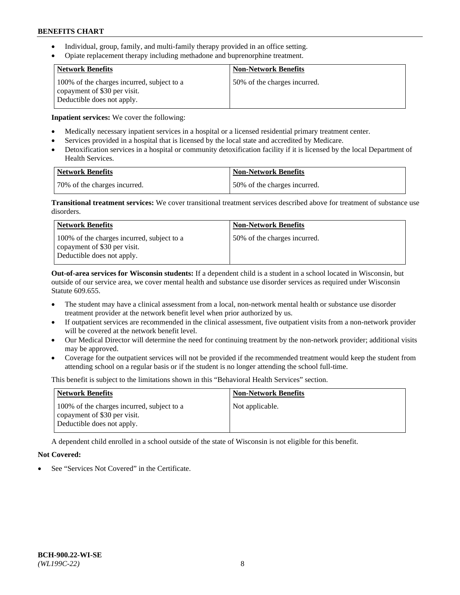- Individual, group, family, and multi-family therapy provided in an office setting.
- Opiate replacement therapy including methadone and buprenorphine treatment.

| <b>Network Benefits</b>                                                                                  | <b>Non-Network Benefits</b>  |
|----------------------------------------------------------------------------------------------------------|------------------------------|
| 100% of the charges incurred, subject to a<br>copayment of \$30 per visit.<br>Deductible does not apply. | 50% of the charges incurred. |

**Inpatient services:** We cover the following:

- Medically necessary inpatient services in a hospital or a licensed residential primary treatment center.
- Services provided in a hospital that is licensed by the local state and accredited by Medicare.
- Detoxification services in a hospital or community detoxification facility if it is licensed by the local Department of Health Services.

| Network Benefits             | Non-Network Benefits         |
|------------------------------|------------------------------|
| 70% of the charges incurred. | 50% of the charges incurred. |

**Transitional treatment services:** We cover transitional treatment services described above for treatment of substance use disorders.

| Network Benefits                                                                                         | <b>Non-Network Benefits</b>  |
|----------------------------------------------------------------------------------------------------------|------------------------------|
| 100% of the charges incurred, subject to a<br>copayment of \$30 per visit.<br>Deductible does not apply. | 50% of the charges incurred. |

**Out-of-area services for Wisconsin students:** If a dependent child is a student in a school located in Wisconsin, but outside of our service area, we cover mental health and substance use disorder services as required under Wisconsin Statute 609.655.

- The student may have a clinical assessment from a local, non-network mental health or substance use disorder treatment provider at the network benefit level when prior authorized by us.
- If outpatient services are recommended in the clinical assessment, five outpatient visits from a non-network provider will be covered at the network benefit level.
- Our Medical Director will determine the need for continuing treatment by the non-network provider; additional visits may be approved.
- Coverage for the outpatient services will not be provided if the recommended treatment would keep the student from attending school on a regular basis or if the student is no longer attending the school full-time.

This benefit is subject to the limitations shown in this "Behavioral Health Services" section.

| <b>Network Benefits</b>                                                                                  | <b>Non-Network Benefits</b> |
|----------------------------------------------------------------------------------------------------------|-----------------------------|
| 100% of the charges incurred, subject to a<br>copayment of \$30 per visit.<br>Deductible does not apply. | Not applicable.             |

A dependent child enrolled in a school outside of the state of Wisconsin is not eligible for this benefit.

## **Not Covered:**

See "Services Not Covered" in the Certificate.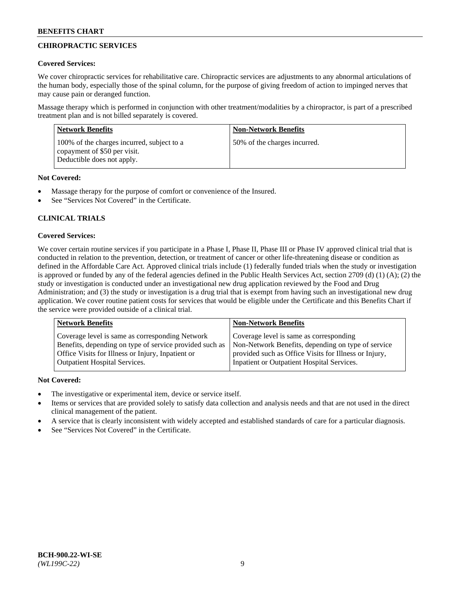# **CHIROPRACTIC SERVICES**

## **Covered Services:**

We cover chiropractic services for rehabilitative care. Chiropractic services are adjustments to any abnormal articulations of the human body, especially those of the spinal column, for the purpose of giving freedom of action to impinged nerves that may cause pain or deranged function.

Massage therapy which is performed in conjunction with other treatment/modalities by a chiropractor, is part of a prescribed treatment plan and is not billed separately is covered.

| <b>Network Benefits</b>                                                                                  | <b>Non-Network Benefits</b>  |
|----------------------------------------------------------------------------------------------------------|------------------------------|
| 100% of the charges incurred, subject to a<br>copayment of \$50 per visit.<br>Deductible does not apply. | 50% of the charges incurred. |

## **Not Covered:**

- Massage therapy for the purpose of comfort or convenience of the Insured.
- See "Services Not Covered" in the Certificate.

# **CLINICAL TRIALS**

## **Covered Services:**

We cover certain routine services if you participate in a Phase I, Phase II, Phase III or Phase IV approved clinical trial that is conducted in relation to the prevention, detection, or treatment of cancer or other life-threatening disease or condition as defined in the Affordable Care Act. Approved clinical trials include (1) federally funded trials when the study or investigation is approved or funded by any of the federal agencies defined in the Public Health Services Act, section 2709 (d) (1) (A); (2) the study or investigation is conducted under an investigational new drug application reviewed by the Food and Drug Administration; and (3) the study or investigation is a drug trial that is exempt from having such an investigational new drug application. We cover routine patient costs for services that would be eligible under the Certificate and this Benefits Chart if the service were provided outside of a clinical trial.

| Coverage level is same as corresponding<br>Coverage level is same as corresponding Network<br>Non-Network Benefits, depending on type of service<br>Benefits, depending on type of service provided such as<br>Office Visits for Illness or Injury, Inpatient or<br>provided such as Office Visits for Illness or Injury, | <b>Network Benefits</b>              | <b>Non-Network Benefits</b>                |
|---------------------------------------------------------------------------------------------------------------------------------------------------------------------------------------------------------------------------------------------------------------------------------------------------------------------------|--------------------------------------|--------------------------------------------|
|                                                                                                                                                                                                                                                                                                                           | <b>Outpatient Hospital Services.</b> | Inpatient or Outpatient Hospital Services. |

- The investigative or experimental item, device or service itself.
- Items or services that are provided solely to satisfy data collection and analysis needs and that are not used in the direct clinical management of the patient.
- A service that is clearly inconsistent with widely accepted and established standards of care for a particular diagnosis.
- See "Services Not Covered" in the Certificate.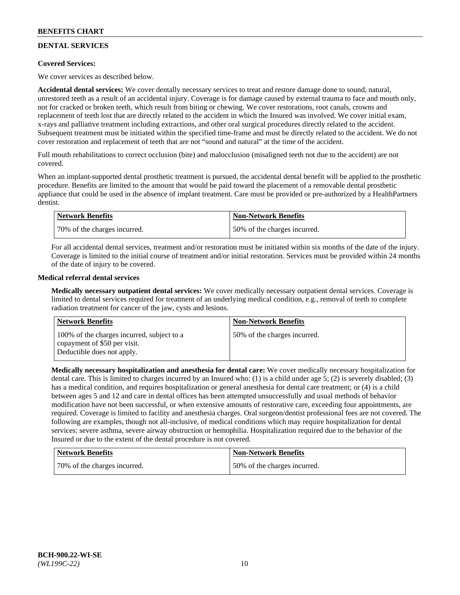# **DENTAL SERVICES**

## **Covered Services:**

We cover services as described below.

**Accidental dental services:** We cover dentally necessary services to treat and restore damage done to sound, natural, unrestored teeth as a result of an accidental injury. Coverage is for damage caused by external trauma to face and mouth only, not for cracked or broken teeth, which result from biting or chewing. We cover restorations, root canals, crowns and replacement of teeth lost that are directly related to the accident in which the Insured was involved. We cover initial exam, x-rays and palliative treatment including extractions, and other oral surgical procedures directly related to the accident. Subsequent treatment must be initiated within the specified time-frame and must be directly related to the accident. We do not cover restoration and replacement of teeth that are not "sound and natural" at the time of the accident.

Full mouth rehabilitations to correct occlusion (bite) and malocclusion (misaligned teeth not due to the accident) are not covered.

When an implant-supported dental prosthetic treatment is pursued, the accidental dental benefit will be applied to the prosthetic procedure. Benefits are limited to the amount that would be paid toward the placement of a removable dental prosthetic appliance that could be used in the absence of implant treatment. Care must be provided or pre-authorized by a HealthPartners dentist.

| Network Benefits             | <b>Non-Network Benefits</b>  |
|------------------------------|------------------------------|
| 70% of the charges incurred. | 50% of the charges incurred. |

For all accidental dental services, treatment and/or restoration must be initiated within six months of the date of the injury. Coverage is limited to the initial course of treatment and/or initial restoration. Services must be provided within 24 months of the date of injury to be covered.

## **Medical referral dental services**

**Medically necessary outpatient dental services:** We cover medically necessary outpatient dental services. Coverage is limited to dental services required for treatment of an underlying medical condition, e.g., removal of teeth to complete radiation treatment for cancer of the jaw, cysts and lesions.

| <b>Network Benefits</b>                                                                                  | <b>Non-Network Benefits</b>  |
|----------------------------------------------------------------------------------------------------------|------------------------------|
| 100% of the charges incurred, subject to a<br>copayment of \$50 per visit.<br>Deductible does not apply. | 50% of the charges incurred. |

**Medically necessary hospitalization and anesthesia for dental care:** We cover medically necessary hospitalization for dental care. This is limited to charges incurred by an Insured who: (1) is a child under age 5; (2) is severely disabled; (3) has a medical condition, and requires hospitalization or general anesthesia for dental care treatment; or (4) is a child between ages 5 and 12 and care in dental offices has been attempted unsuccessfully and usual methods of behavior modification have not been successful, or when extensive amounts of restorative care, exceeding four appointments, are required. Coverage is limited to facility and anesthesia charges. Oral surgeon/dentist professional fees are not covered. The following are examples, though not all-inclusive, of medical conditions which may require hospitalization for dental services: severe asthma, severe airway obstruction or hemophilia. Hospitalization required due to the behavior of the Insured or due to the extent of the dental procedure is not covered.

| <b>Network Benefits</b>      | <b>Non-Network Benefits</b>  |
|------------------------------|------------------------------|
| 70% of the charges incurred. | 50% of the charges incurred. |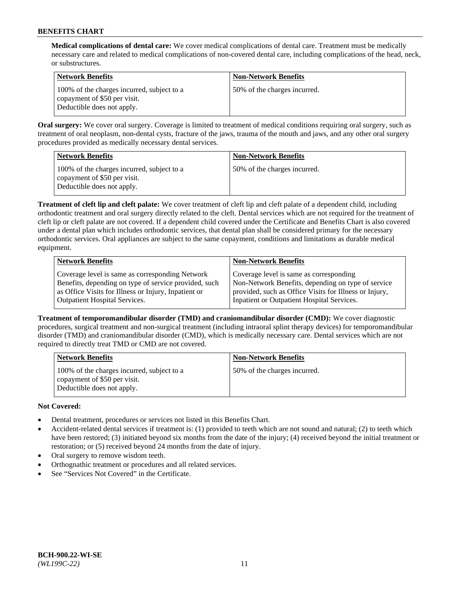**Medical complications of dental care:** We cover medical complications of dental care. Treatment must be medically necessary care and related to medical complications of non-covered dental care, including complications of the head, neck, or substructures.

| Network Benefits                                                                                         | <b>Non-Network Benefits</b>  |
|----------------------------------------------------------------------------------------------------------|------------------------------|
| 100% of the charges incurred, subject to a<br>copayment of \$50 per visit.<br>Deductible does not apply. | 50% of the charges incurred. |

**Oral surgery:** We cover oral surgery. Coverage is limited to treatment of medical conditions requiring oral surgery, such as treatment of oral neoplasm, non-dental cysts, fracture of the jaws, trauma of the mouth and jaws, and any other oral surgery procedures provided as medically necessary dental services.

| Network Benefits                                                                                         | <b>Non-Network Benefits</b>  |
|----------------------------------------------------------------------------------------------------------|------------------------------|
| 100% of the charges incurred, subject to a<br>copayment of \$50 per visit.<br>Deductible does not apply. | 50% of the charges incurred. |

**Treatment of cleft lip and cleft palate:** We cover treatment of cleft lip and cleft palate of a dependent child, including orthodontic treatment and oral surgery directly related to the cleft. Dental services which are not required for the treatment of cleft lip or cleft palate are not covered. If a dependent child covered under the Certificate and Benefits Chart is also covered under a dental plan which includes orthodontic services, that dental plan shall be considered primary for the necessary orthodontic services. Oral appliances are subject to the same copayment, conditions and limitations as durable medical equipment.

| <b>Network Benefits</b>                               | <b>Non-Network Benefits</b>                            |
|-------------------------------------------------------|--------------------------------------------------------|
| Coverage level is same as corresponding Network       | Coverage level is same as corresponding                |
| Benefits, depending on type of service provided, such | Non-Network Benefits, depending on type of service     |
| as Office Visits for Illness or Injury, Inpatient or  | provided, such as Office Visits for Illness or Injury, |
| <b>Outpatient Hospital Services.</b>                  | Inpatient or Outpatient Hospital Services.             |

**Treatment of temporomandibular disorder (TMD) and craniomandibular disorder (CMD):** We cover diagnostic procedures, surgical treatment and non-surgical treatment (including intraoral splint therapy devices) for temporomandibular disorder (TMD) and craniomandibular disorder (CMD), which is medically necessary care. Dental services which are not required to directly treat TMD or CMD are not covered.

| <b>Network Benefits</b>                                                                                  | <b>Non-Network Benefits</b>  |
|----------------------------------------------------------------------------------------------------------|------------------------------|
| 100% of the charges incurred, subject to a<br>copayment of \$50 per visit.<br>Deductible does not apply. | 50% of the charges incurred. |

- Dental treatment, procedures or services not listed in this Benefits Chart.
- Accident-related dental services if treatment is: (1) provided to teeth which are not sound and natural; (2) to teeth which have been restored; (3) initiated beyond six months from the date of the injury; (4) received beyond the initial treatment or restoration; or (5) received beyond 24 months from the date of injury.
- Oral surgery to remove wisdom teeth.
- Orthognathic treatment or procedures and all related services.
- See "Services Not Covered" in the Certificate.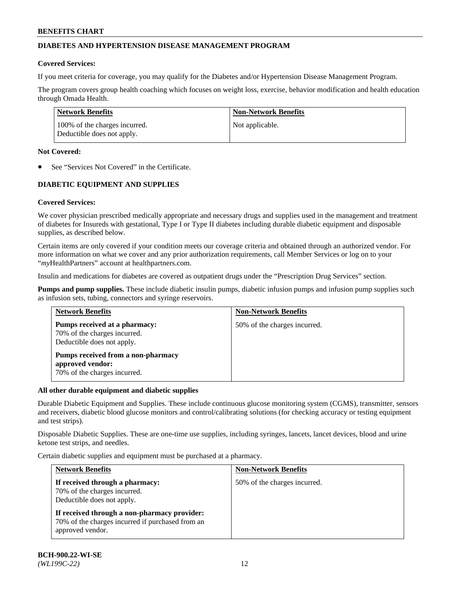## **DIABETES AND HYPERTENSION DISEASE MANAGEMENT PROGRAM**

### **Covered Services:**

If you meet criteria for coverage, you may qualify for the Diabetes and/or Hypertension Disease Management Program.

The program covers group health coaching which focuses on weight loss, exercise, behavior modification and health education through Omada Health.

| <b>Network Benefits</b>                                     | <b>Non-Network Benefits</b> |
|-------------------------------------------------------------|-----------------------------|
| 100% of the charges incurred.<br>Deductible does not apply. | Not applicable.             |

### **Not Covered:**

See "Services Not Covered" in the Certificate.

## **DIABETIC EQUIPMENT AND SUPPLIES**

## **Covered Services:**

We cover physician prescribed medically appropriate and necessary drugs and supplies used in the management and treatment of diabetes for Insureds with gestational, Type I or Type II diabetes including durable diabetic equipment and disposable supplies, as described below.

Certain items are only covered if your condition meets our coverage criteria and obtained through an authorized vendor. For more information on what we cover and any prior authorization requirements, call Member Services or log on to your "*my*HealthPartners" account at [healthpartners.com.](http://www.healthpartners.com/)

Insulin and medications for diabetes are covered as outpatient drugs under the "Prescription Drug Services" section.

**Pumps and pump supplies.** These include diabetic insulin pumps, diabetic infusion pumps and infusion pump supplies such as infusion sets, tubing, connectors and syringe reservoirs.

| <b>Network Benefits</b>                                                                     | <b>Non-Network Benefits</b>  |
|---------------------------------------------------------------------------------------------|------------------------------|
| Pumps received at a pharmacy:<br>70% of the charges incurred.<br>Deductible does not apply. | 50% of the charges incurred. |
| Pumps received from a non-pharmacy<br>approved vendor:<br>70% of the charges incurred.      |                              |

#### **All other durable equipment and diabetic supplies**

Durable Diabetic Equipment and Supplies. These include continuous glucose monitoring system (CGMS), transmitter, sensors and receivers, diabetic blood glucose monitors and control/calibrating solutions (for checking accuracy or testing equipment and test strips).

Disposable Diabetic Supplies. These are one-time use supplies, including syringes, lancets, lancet devices, blood and urine ketone test strips, and needles.

Certain diabetic supplies and equipment must be purchased at a pharmacy.

| <b>Network Benefits</b>                                                                                              | <b>Non-Network Benefits</b>  |  |
|----------------------------------------------------------------------------------------------------------------------|------------------------------|--|
| If received through a pharmacy:<br>70% of the charges incurred.<br>Deductible does not apply.                        | 50% of the charges incurred. |  |
| If received through a non-pharmacy provider:<br>70% of the charges incurred if purchased from an<br>approved vendor. |                              |  |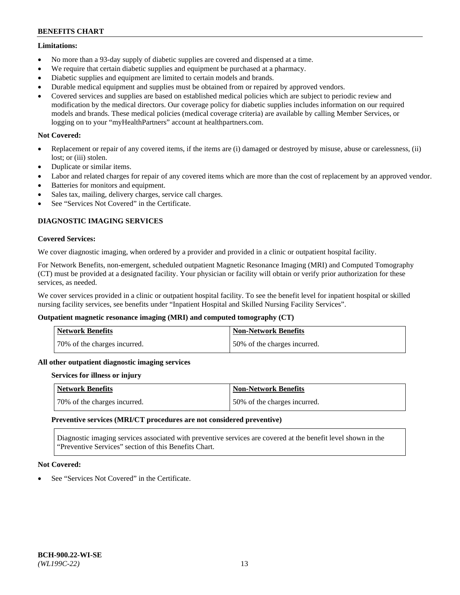### **Limitations:**

- No more than a 93-day supply of diabetic supplies are covered and dispensed at a time.
- We require that certain diabetic supplies and equipment be purchased at a pharmacy.
- Diabetic supplies and equipment are limited to certain models and brands.
- Durable medical equipment and supplies must be obtained from or repaired by approved vendors.
- Covered services and supplies are based on established medical policies which are subject to periodic review and modification by the medical directors. Our coverage policy for diabetic supplies includes information on our required models and brands. These medical policies (medical coverage criteria) are available by calling Member Services, or logging on to your "myHealthPartners" account at [healthpartners.com.](http://www.healthpartners.com/)

## **Not Covered:**

- Replacement or repair of any covered items, if the items are (i) damaged or destroyed by misuse, abuse or carelessness, (ii) lost; or (iii) stolen.
- Duplicate or similar items.
- Labor and related charges for repair of any covered items which are more than the cost of replacement by an approved vendor.
- Batteries for monitors and equipment.
- Sales tax, mailing, delivery charges, service call charges.
- See "Services Not Covered" in the Certificate.

## **DIAGNOSTIC IMAGING SERVICES**

### **Covered Services:**

We cover diagnostic imaging, when ordered by a provider and provided in a clinic or outpatient hospital facility.

For Network Benefits, non-emergent, scheduled outpatient Magnetic Resonance Imaging (MRI) and Computed Tomography (CT) must be provided at a designated facility. Your physician or facility will obtain or verify prior authorization for these services, as needed.

We cover services provided in a clinic or outpatient hospital facility. To see the benefit level for inpatient hospital or skilled nursing facility services, see benefits under "Inpatient Hospital and Skilled Nursing Facility Services".

## **Outpatient magnetic resonance imaging (MRI) and computed tomography (CT)**

| <b>Network Benefits</b>      | <b>Non-Network Benefits</b>  |
|------------------------------|------------------------------|
| 70% of the charges incurred. | 50% of the charges incurred. |

#### **All other outpatient diagnostic imaging services**

#### **Services for illness or injury**

| <b>Network Benefits</b>      | Non-Network Benefits         |
|------------------------------|------------------------------|
| 70% of the charges incurred. | 50% of the charges incurred. |

#### **Preventive services (MRI/CT procedures are not considered preventive)**

Diagnostic imaging services associated with preventive services are covered at the benefit level shown in the "Preventive Services" section of this Benefits Chart.

## **Not Covered:**

See "Services Not Covered" in the Certificate.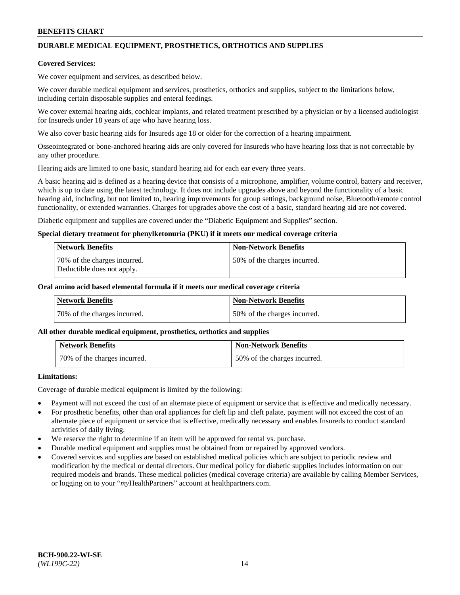# **DURABLE MEDICAL EQUIPMENT, PROSTHETICS, ORTHOTICS AND SUPPLIES**

### **Covered Services:**

We cover equipment and services, as described below.

We cover durable medical equipment and services, prosthetics, orthotics and supplies, subject to the limitations below, including certain disposable supplies and enteral feedings.

We cover external hearing aids, cochlear implants, and related treatment prescribed by a physician or by a licensed audiologist for Insureds under 18 years of age who have hearing loss.

We also cover basic hearing aids for Insureds age 18 or older for the correction of a hearing impairment.

Osseointegrated or bone-anchored hearing aids are only covered for Insureds who have hearing loss that is not correctable by any other procedure.

Hearing aids are limited to one basic, standard hearing aid for each ear every three years.

A basic hearing aid is defined as a hearing device that consists of a microphone, amplifier, volume control, battery and receiver, which is up to date using the latest technology. It does not include upgrades above and beyond the functionality of a basic hearing aid, including, but not limited to, hearing improvements for group settings, background noise, Bluetooth/remote control functionality, or extended warranties. Charges for upgrades above the cost of a basic, standard hearing aid are not covered.

Diabetic equipment and supplies are covered under the "Diabetic Equipment and Supplies" section.

### **Special dietary treatment for phenylketonuria (PKU) if it meets our medical coverage criteria**

| <b>Network Benefits</b>                                    | <b>Non-Network Benefits</b>  |
|------------------------------------------------------------|------------------------------|
| 70% of the charges incurred.<br>Deductible does not apply. | 50% of the charges incurred. |

### **Oral amino acid based elemental formula if it meets our medical coverage criteria**

| Network Benefits             | <b>Non-Network Benefits</b>  |
|------------------------------|------------------------------|
| 70% of the charges incurred. | 50% of the charges incurred. |

#### **All other durable medical equipment, prosthetics, orthotics and supplies**

| <b>Network Benefits</b>      | <b>Non-Network Benefits</b>  |
|------------------------------|------------------------------|
| 70% of the charges incurred. | 50% of the charges incurred. |

## **Limitations:**

Coverage of durable medical equipment is limited by the following:

- Payment will not exceed the cost of an alternate piece of equipment or service that is effective and medically necessary.
- For prosthetic benefits, other than oral appliances for cleft lip and cleft palate, payment will not exceed the cost of an alternate piece of equipment or service that is effective, medically necessary and enables Insureds to conduct standard activities of daily living.
- We reserve the right to determine if an item will be approved for rental vs. purchase.
- Durable medical equipment and supplies must be obtained from or repaired by approved vendors.
- Covered services and supplies are based on established medical policies which are subject to periodic review and modification by the medical or dental directors. Our medical policy for diabetic supplies includes information on our required models and brands. These medical policies (medical coverage criteria) are available by calling Member Services, or logging on to your "*my*HealthPartners" account a[t healthpartners.com.](http://www.healthpartners.com/)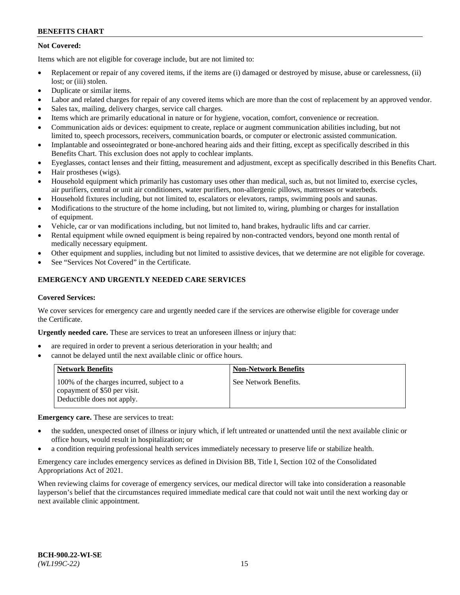## **Not Covered:**

Items which are not eligible for coverage include, but are not limited to:

- Replacement or repair of any covered items, if the items are (i) damaged or destroyed by misuse, abuse or carelessness, (ii) lost; or (iii) stolen.
- Duplicate or similar items.
- Labor and related charges for repair of any covered items which are more than the cost of replacement by an approved vendor.
- Sales tax, mailing, delivery charges, service call charges.
- Items which are primarily educational in nature or for hygiene, vocation, comfort, convenience or recreation.
- Communication aids or devices: equipment to create, replace or augment communication abilities including, but not limited to, speech processors, receivers, communication boards, or computer or electronic assisted communication.
- Implantable and osseointegrated or bone-anchored hearing aids and their fitting, except as specifically described in this Benefits Chart. This exclusion does not apply to cochlear implants.
- Eyeglasses, contact lenses and their fitting, measurement and adjustment, except as specifically described in this Benefits Chart.
- Hair prostheses (wigs).
- Household equipment which primarily has customary uses other than medical, such as, but not limited to, exercise cycles, air purifiers, central or unit air conditioners, water purifiers, non-allergenic pillows, mattresses or waterbeds.
- Household fixtures including, but not limited to, escalators or elevators, ramps, swimming pools and saunas.
- Modifications to the structure of the home including, but not limited to, wiring, plumbing or charges for installation of equipment.
- Vehicle, car or van modifications including, but not limited to, hand brakes, hydraulic lifts and car carrier.
- Rental equipment while owned equipment is being repaired by non-contracted vendors, beyond one month rental of medically necessary equipment.
- Other equipment and supplies, including but not limited to assistive devices, that we determine are not eligible for coverage.
- See "Services Not Covered" in the Certificate.

## **EMERGENCY AND URGENTLY NEEDED CARE SERVICES**

#### **Covered Services:**

We cover services for emergency care and urgently needed care if the services are otherwise eligible for coverage under the Certificate.

**Urgently needed care.** These are services to treat an unforeseen illness or injury that:

- are required in order to prevent a serious deterioration in your health; and
- cannot be delayed until the next available clinic or office hours.

| <b>Network Benefits</b>                                                                                  | <b>Non-Network Benefits</b> |
|----------------------------------------------------------------------------------------------------------|-----------------------------|
| 100% of the charges incurred, subject to a<br>copayment of \$50 per visit.<br>Deductible does not apply. | See Network Benefits.       |

**Emergency care.** These are services to treat:

- the sudden, unexpected onset of illness or injury which, if left untreated or unattended until the next available clinic or office hours, would result in hospitalization; or
- a condition requiring professional health services immediately necessary to preserve life or stabilize health.

Emergency care includes emergency services as defined in Division BB, Title I, Section 102 of the Consolidated Appropriations Act of 2021.

When reviewing claims for coverage of emergency services, our medical director will take into consideration a reasonable layperson's belief that the circumstances required immediate medical care that could not wait until the next working day or next available clinic appointment.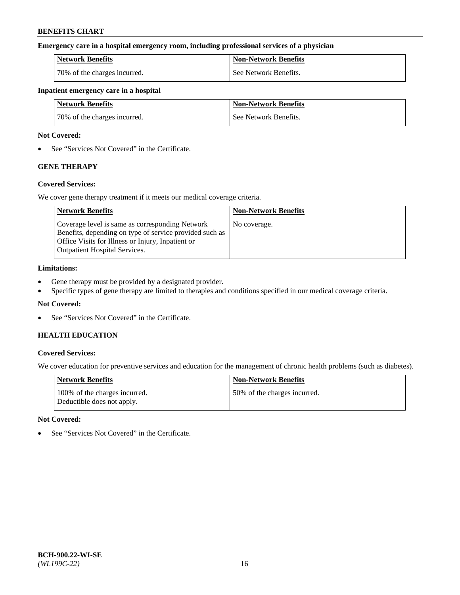### **Emergency care in a hospital emergency room, including professional services of a physician**

| <b>Network Benefits</b>      | <b>Non-Network Benefits</b> |
|------------------------------|-----------------------------|
| 70% of the charges incurred. | See Network Benefits.       |

#### **Inpatient emergency care in a hospital**

| <b>Network Benefits</b>      | <b>Non-Network Benefits</b> |
|------------------------------|-----------------------------|
| 70% of the charges incurred. | See Network Benefits.       |

### **Not Covered:**

• See "Services Not Covered" in the Certificate.

## **GENE THERAPY**

## **Covered Services:**

We cover gene therapy treatment if it meets our medical coverage criteria.

| <b>Network Benefits</b>                                                                                                                                                                                 | <b>Non-Network Benefits</b> |
|---------------------------------------------------------------------------------------------------------------------------------------------------------------------------------------------------------|-----------------------------|
| Coverage level is same as corresponding Network<br>Benefits, depending on type of service provided such as<br>Office Visits for Illness or Injury, Inpatient or<br><b>Outpatient Hospital Services.</b> | No coverage.                |

### **Limitations:**

- Gene therapy must be provided by a designated provider.
- Specific types of gene therapy are limited to therapies and conditions specified in our medical coverage criteria.

## **Not Covered:**

• See "Services Not Covered" in the Certificate.

## **HEALTH EDUCATION**

## **Covered Services:**

We cover education for preventive services and education for the management of chronic health problems (such as diabetes).

| <b>Network Benefits</b>                                     | <b>Non-Network Benefits</b>  |
|-------------------------------------------------------------|------------------------------|
| 100% of the charges incurred.<br>Deductible does not apply. | 50% of the charges incurred. |

#### **Not Covered:**

• See "Services Not Covered" in the Certificate.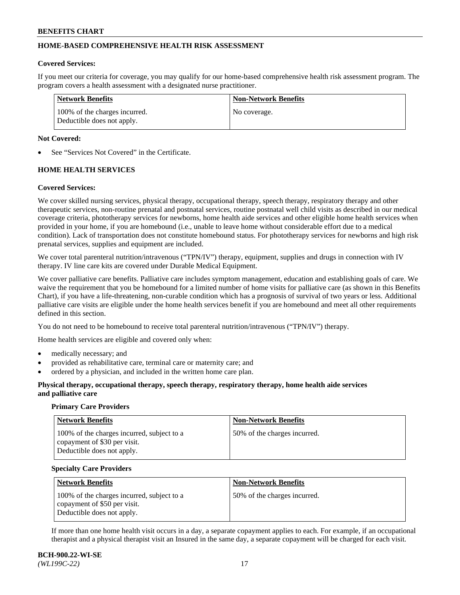## **HOME-BASED COMPREHENSIVE HEALTH RISK ASSESSMENT**

#### **Covered Services:**

If you meet our criteria for coverage, you may qualify for our home-based comprehensive health risk assessment program. The program covers a health assessment with a designated nurse practitioner.

| Network Benefits                                            | <b>Non-Network Benefits</b> |
|-------------------------------------------------------------|-----------------------------|
| 100% of the charges incurred.<br>Deductible does not apply. | No coverage.                |

### **Not Covered:**

See "Services Not Covered" in the Certificate.

## **HOME HEALTH SERVICES**

### **Covered Services:**

We cover skilled nursing services, physical therapy, occupational therapy, speech therapy, respiratory therapy and other therapeutic services, non-routine prenatal and postnatal services, routine postnatal well child visits as described in our medical coverage criteria, phototherapy services for newborns, home health aide services and other eligible home health services when provided in your home, if you are homebound (i.e., unable to leave home without considerable effort due to a medical condition). Lack of transportation does not constitute homebound status. For phototherapy services for newborns and high risk prenatal services, supplies and equipment are included.

We cover total parenteral nutrition/intravenous ("TPN/IV") therapy, equipment, supplies and drugs in connection with IV therapy. IV line care kits are covered under Durable Medical Equipment.

We cover palliative care benefits. Palliative care includes symptom management, education and establishing goals of care. We waive the requirement that you be homebound for a limited number of home visits for palliative care (as shown in this Benefits Chart), if you have a life-threatening, non-curable condition which has a prognosis of survival of two years or less. Additional palliative care visits are eligible under the home health services benefit if you are homebound and meet all other requirements defined in this section.

You do not need to be homebound to receive total parenteral nutrition/intravenous ("TPN/IV") therapy.

Home health services are eligible and covered only when:

- medically necessary; and
- provided as rehabilitative care, terminal care or maternity care; and
- ordered by a physician, and included in the written home care plan.

### **Physical therapy, occupational therapy, speech therapy, respiratory therapy, home health aide services and palliative care**

#### **Primary Care Providers**

| <b>Network Benefits</b>                                                                                  | <b>Non-Network Benefits</b>   |
|----------------------------------------------------------------------------------------------------------|-------------------------------|
| 100% of the charges incurred, subject to a<br>copayment of \$30 per visit.<br>Deductible does not apply. | 150% of the charges incurred. |

#### **Specialty Care Providers**

| <b>Network Benefits</b>                                                                                  | <b>Non-Network Benefits</b>  |
|----------------------------------------------------------------------------------------------------------|------------------------------|
| 100% of the charges incurred, subject to a<br>copayment of \$50 per visit.<br>Deductible does not apply. | 50% of the charges incurred. |

If more than one home health visit occurs in a day, a separate copayment applies to each. For example, if an occupational therapist and a physical therapist visit an Insured in the same day, a separate copayment will be charged for each visit.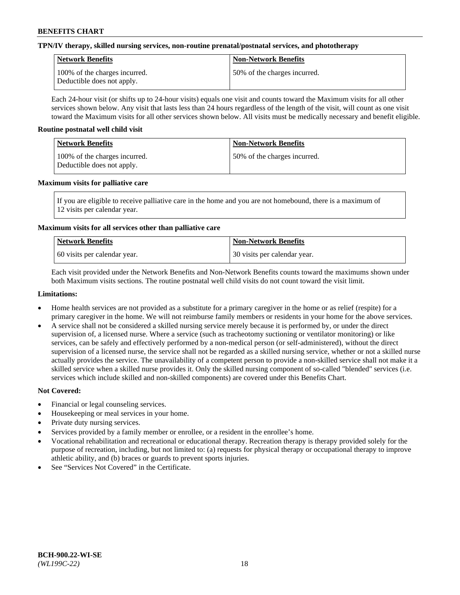## **TPN/IV therapy, skilled nursing services, non-routine prenatal/postnatal services, and phototherapy**

| <b>Network Benefits</b>                                     | <b>Non-Network Benefits</b>  |
|-------------------------------------------------------------|------------------------------|
| 100% of the charges incurred.<br>Deductible does not apply. | 50% of the charges incurred. |

Each 24-hour visit (or shifts up to 24-hour visits) equals one visit and counts toward the Maximum visits for all other services shown below. Any visit that lasts less than 24 hours regardless of the length of the visit, will count as one visit toward the Maximum visits for all other services shown below. All visits must be medically necessary and benefit eligible.

### **Routine postnatal well child visit**

| <b>Network Benefits</b>                                     | Non-Network Benefits         |
|-------------------------------------------------------------|------------------------------|
| 100% of the charges incurred.<br>Deductible does not apply. | 50% of the charges incurred. |

### **Maximum visits for palliative care**

If you are eligible to receive palliative care in the home and you are not homebound, there is a maximum of 12 visits per calendar year.

## **Maximum visits for all services other than palliative care**

| Network Benefits               | <b>Non-Network Benefits</b>  |
|--------------------------------|------------------------------|
| 1.60 visits per calendar year. | 30 visits per calendar year. |

Each visit provided under the Network Benefits and Non-Network Benefits counts toward the maximums shown under both Maximum visits sections. The routine postnatal well child visits do not count toward the visit limit.

### **Limitations:**

- Home health services are not provided as a substitute for a primary caregiver in the home or as relief (respite) for a primary caregiver in the home. We will not reimburse family members or residents in your home for the above services.
- A service shall not be considered a skilled nursing service merely because it is performed by, or under the direct supervision of, a licensed nurse. Where a service (such as tracheotomy suctioning or ventilator monitoring) or like services, can be safely and effectively performed by a non-medical person (or self-administered), without the direct supervision of a licensed nurse, the service shall not be regarded as a skilled nursing service, whether or not a skilled nurse actually provides the service. The unavailability of a competent person to provide a non-skilled service shall not make it a skilled service when a skilled nurse provides it. Only the skilled nursing component of so-called "blended" services (i.e. services which include skilled and non-skilled components) are covered under this Benefits Chart.

- Financial or legal counseling services.
- Housekeeping or meal services in your home.
- Private duty nursing services.
- Services provided by a family member or enrollee, or a resident in the enrollee's home.
- Vocational rehabilitation and recreational or educational therapy. Recreation therapy is therapy provided solely for the purpose of recreation, including, but not limited to: (a) requests for physical therapy or occupational therapy to improve athletic ability, and (b) braces or guards to prevent sports injuries.
- See "Services Not Covered" in the Certificate.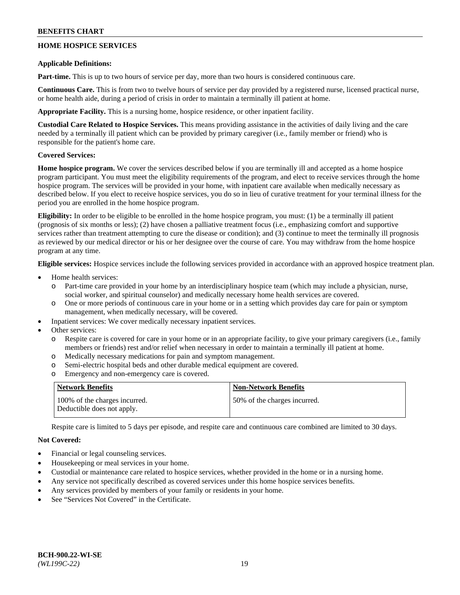## **HOME HOSPICE SERVICES**

### **Applicable Definitions:**

**Part-time.** This is up to two hours of service per day, more than two hours is considered continuous care.

**Continuous Care.** This is from two to twelve hours of service per day provided by a registered nurse, licensed practical nurse, or home health aide, during a period of crisis in order to maintain a terminally ill patient at home.

**Appropriate Facility.** This is a nursing home, hospice residence, or other inpatient facility.

**Custodial Care Related to Hospice Services.** This means providing assistance in the activities of daily living and the care needed by a terminally ill patient which can be provided by primary caregiver (i.e., family member or friend) who is responsible for the patient's home care.

## **Covered Services:**

**Home hospice program.** We cover the services described below if you are terminally ill and accepted as a home hospice program participant. You must meet the eligibility requirements of the program, and elect to receive services through the home hospice program. The services will be provided in your home, with inpatient care available when medically necessary as described below. If you elect to receive hospice services, you do so in lieu of curative treatment for your terminal illness for the period you are enrolled in the home hospice program.

**Eligibility:** In order to be eligible to be enrolled in the home hospice program, you must: (1) be a terminally ill patient (prognosis of six months or less); (2) have chosen a palliative treatment focus (i.e., emphasizing comfort and supportive services rather than treatment attempting to cure the disease or condition); and (3) continue to meet the terminally ill prognosis as reviewed by our medical director or his or her designee over the course of care. You may withdraw from the home hospice program at any time.

**Eligible services:** Hospice services include the following services provided in accordance with an approved hospice treatment plan.

- Home health services:
	- o Part-time care provided in your home by an interdisciplinary hospice team (which may include a physician, nurse, social worker, and spiritual counselor) and medically necessary home health services are covered.
	- o One or more periods of continuous care in your home or in a setting which provides day care for pain or symptom management, when medically necessary, will be covered.
	- Inpatient services: We cover medically necessary inpatient services.
- Other services:
	- Respite care is covered for care in your home or in an appropriate facility, to give your primary caregivers (i.e., family members or friends) rest and/or relief when necessary in order to maintain a terminally ill patient at home.
	- o Medically necessary medications for pain and symptom management.
	- o Semi-electric hospital beds and other durable medical equipment are covered.
	- o Emergency and non-emergency care is covered.

| Network Benefits                                            | <b>Non-Network Benefits</b>  |
|-------------------------------------------------------------|------------------------------|
| 100% of the charges incurred.<br>Deductible does not apply. | 50% of the charges incurred. |

Respite care is limited to 5 days per episode, and respite care and continuous care combined are limited to 30 days.

- Financial or legal counseling services.
- Housekeeping or meal services in your home.
- Custodial or maintenance care related to hospice services, whether provided in the home or in a nursing home.
- Any service not specifically described as covered services under this home hospice services benefits.
- Any services provided by members of your family or residents in your home.
- See "Services Not Covered" in the Certificate.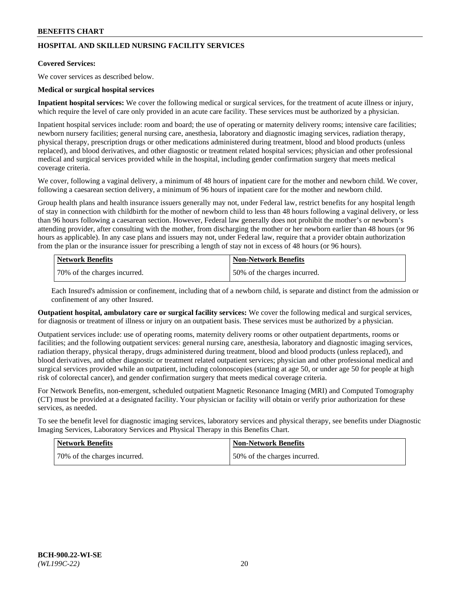## **HOSPITAL AND SKILLED NURSING FACILITY SERVICES**

#### **Covered Services:**

We cover services as described below.

### **Medical or surgical hospital services**

**Inpatient hospital services:** We cover the following medical or surgical services, for the treatment of acute illness or injury, which require the level of care only provided in an acute care facility. These services must be authorized by a physician.

Inpatient hospital services include: room and board; the use of operating or maternity delivery rooms; intensive care facilities; newborn nursery facilities; general nursing care, anesthesia, laboratory and diagnostic imaging services, radiation therapy, physical therapy, prescription drugs or other medications administered during treatment, blood and blood products (unless replaced), and blood derivatives, and other diagnostic or treatment related hospital services; physician and other professional medical and surgical services provided while in the hospital, including gender confirmation surgery that meets medical coverage criteria.

We cover, following a vaginal delivery, a minimum of 48 hours of inpatient care for the mother and newborn child. We cover, following a caesarean section delivery, a minimum of 96 hours of inpatient care for the mother and newborn child.

Group health plans and health insurance issuers generally may not, under Federal law, restrict benefits for any hospital length of stay in connection with childbirth for the mother of newborn child to less than 48 hours following a vaginal delivery, or less than 96 hours following a caesarean section. However, Federal law generally does not prohibit the mother's or newborn's attending provider, after consulting with the mother, from discharging the mother or her newborn earlier than 48 hours (or 96 hours as applicable). In any case plans and issuers may not, under Federal law, require that a provider obtain authorization from the plan or the insurance issuer for prescribing a length of stay not in excess of 48 hours (or 96 hours).

| Network Benefits             | Non-Network Benefits         |
|------------------------------|------------------------------|
| 70% of the charges incurred. | 50% of the charges incurred. |

Each Insured's admission or confinement, including that of a newborn child, is separate and distinct from the admission or confinement of any other Insured.

**Outpatient hospital, ambulatory care or surgical facility services:** We cover the following medical and surgical services, for diagnosis or treatment of illness or injury on an outpatient basis. These services must be authorized by a physician.

Outpatient services include: use of operating rooms, maternity delivery rooms or other outpatient departments, rooms or facilities; and the following outpatient services: general nursing care, anesthesia, laboratory and diagnostic imaging services, radiation therapy, physical therapy, drugs administered during treatment, blood and blood products (unless replaced), and blood derivatives, and other diagnostic or treatment related outpatient services; physician and other professional medical and surgical services provided while an outpatient, including colonoscopies (starting at age 50, or under age 50 for people at high risk of colorectal cancer), and gender confirmation surgery that meets medical coverage criteria.

For Network Benefits, non-emergent, scheduled outpatient Magnetic Resonance Imaging (MRI) and Computed Tomography (CT) must be provided at a designated facility. Your physician or facility will obtain or verify prior authorization for these services, as needed.

To see the benefit level for diagnostic imaging services, laboratory services and physical therapy, see benefits under Diagnostic Imaging Services, Laboratory Services and Physical Therapy in this Benefits Chart.

| <b>Network Benefits</b>      | <b>Non-Network Benefits</b>   |
|------------------------------|-------------------------------|
| 70% of the charges incurred. | 150% of the charges incurred. |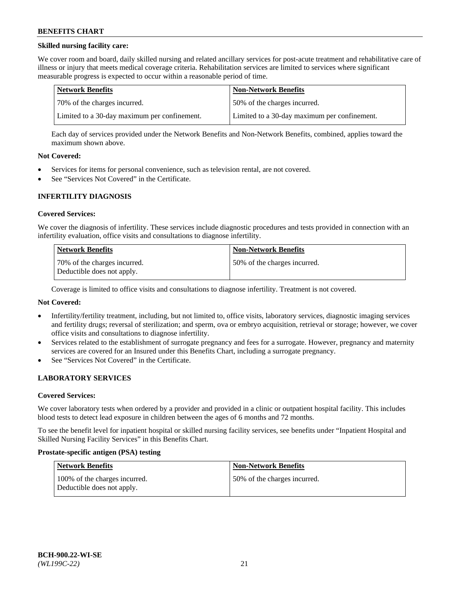## **Skilled nursing facility care:**

We cover room and board, daily skilled nursing and related ancillary services for post-acute treatment and rehabilitative care of illness or injury that meets medical coverage criteria. Rehabilitation services are limited to services where significant measurable progress is expected to occur within a reasonable period of time.

| Network Benefits                             | <b>Non-Network Benefits</b>                  |
|----------------------------------------------|----------------------------------------------|
| 170% of the charges incurred.                | 50% of the charges incurred.                 |
| Limited to a 30-day maximum per confinement. | Limited to a 30-day maximum per confinement. |

Each day of services provided under the Network Benefits and Non-Network Benefits, combined, applies toward the maximum shown above.

### **Not Covered:**

- Services for items for personal convenience, such as television rental, are not covered.
- See "Services Not Covered" in the Certificate.

### **INFERTILITY DIAGNOSIS**

#### **Covered Services:**

We cover the diagnosis of infertility. These services include diagnostic procedures and tests provided in connection with an infertility evaluation, office visits and consultations to diagnose infertility.

| <b>Network Benefits</b>                                    | <b>Non-Network Benefits</b>  |
|------------------------------------------------------------|------------------------------|
| 70% of the charges incurred.<br>Deductible does not apply. | 50% of the charges incurred. |

Coverage is limited to office visits and consultations to diagnose infertility. Treatment is not covered.

## **Not Covered:**

- Infertility/fertility treatment, including, but not limited to, office visits, laboratory services, diagnostic imaging services and fertility drugs; reversal of sterilization; and sperm, ova or embryo acquisition, retrieval or storage; however, we cover office visits and consultations to diagnose infertility.
- Services related to the establishment of surrogate pregnancy and fees for a surrogate. However, pregnancy and maternity services are covered for an Insured under this Benefits Chart, including a surrogate pregnancy.
- See "Services Not Covered" in the Certificate.

## **LABORATORY SERVICES**

#### **Covered Services:**

We cover laboratory tests when ordered by a provider and provided in a clinic or outpatient hospital facility. This includes blood tests to detect lead exposure in children between the ages of 6 months and 72 months.

To see the benefit level for inpatient hospital or skilled nursing facility services, see benefits under "Inpatient Hospital and Skilled Nursing Facility Services" in this Benefits Chart.

#### **Prostate-specific antigen (PSA) testing**

| Network Benefits                                            | <b>Non-Network Benefits</b>  |
|-------------------------------------------------------------|------------------------------|
| 100% of the charges incurred.<br>Deductible does not apply. | 50% of the charges incurred. |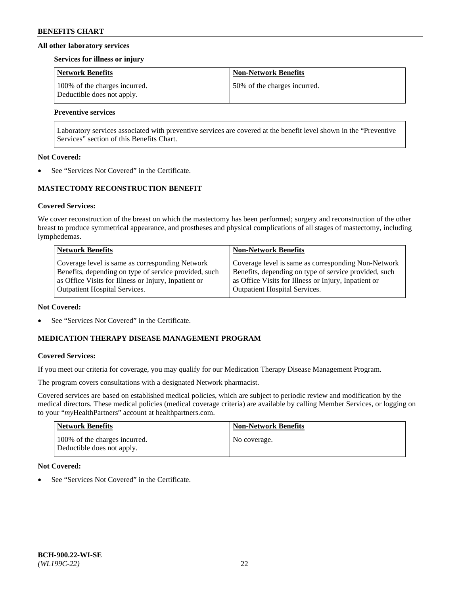### **All other laboratory services**

#### **Services for illness or injury**

| <b>Network Benefits</b>                                     | <b>Non-Network Benefits</b>  |
|-------------------------------------------------------------|------------------------------|
| 100% of the charges incurred.<br>Deductible does not apply. | 50% of the charges incurred. |

## **Preventive services**

Laboratory services associated with preventive services are covered at the benefit level shown in the "Preventive Services" section of this Benefits Chart.

### **Not Covered:**

See "Services Not Covered" in the Certificate.

## **MASTECTOMY RECONSTRUCTION BENEFIT**

### **Covered Services:**

We cover reconstruction of the breast on which the mastectomy has been performed; surgery and reconstruction of the other breast to produce symmetrical appearance, and prostheses and physical complications of all stages of mastectomy, including lymphedemas.

| <b>Network Benefits</b>                               | <b>Non-Network Benefits</b>                           |
|-------------------------------------------------------|-------------------------------------------------------|
| Coverage level is same as corresponding Network       | Coverage level is same as corresponding Non-Network   |
| Benefits, depending on type of service provided, such | Benefits, depending on type of service provided, such |
| as Office Visits for Illness or Injury, Inpatient or  | as Office Visits for Illness or Injury, Inpatient or  |
| <b>Outpatient Hospital Services.</b>                  | Outpatient Hospital Services.                         |

#### **Not Covered:**

See "Services Not Covered" in the Certificate.

## **MEDICATION THERAPY DISEASE MANAGEMENT PROGRAM**

## **Covered Services:**

If you meet our criteria for coverage, you may qualify for our Medication Therapy Disease Management Program.

The program covers consultations with a designated Network pharmacist.

Covered services are based on established medical policies, which are subject to periodic review and modification by the medical directors. These medical policies (medical coverage criteria) are available by calling Member Services, or logging on to your "*my*HealthPartners" account at [healthpartners.com.](http://www.healthpartners.com/)

| Network Benefits                                            | <b>Non-Network Benefits</b> |
|-------------------------------------------------------------|-----------------------------|
| 100% of the charges incurred.<br>Deductible does not apply. | No coverage.                |

## **Not Covered:**

See "Services Not Covered" in the Certificate.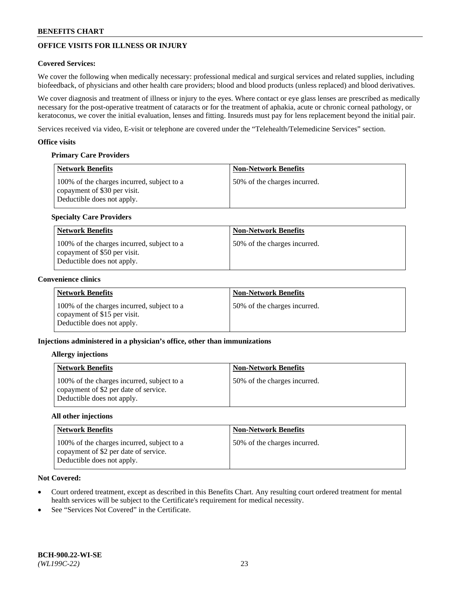# **OFFICE VISITS FOR ILLNESS OR INJURY**

## **Covered Services:**

We cover the following when medically necessary: professional medical and surgical services and related supplies, including biofeedback, of physicians and other health care providers; blood and blood products (unless replaced) and blood derivatives.

We cover diagnosis and treatment of illness or injury to the eyes. Where contact or eye glass lenses are prescribed as medically necessary for the post-operative treatment of cataracts or for the treatment of aphakia, acute or chronic corneal pathology, or keratoconus, we cover the initial evaluation, lenses and fitting. Insureds must pay for lens replacement beyond the initial pair.

Services received via video, E-visit or telephone are covered under the "Telehealth/Telemedicine Services" section.

### **Office visits**

## **Primary Care Providers**

| <b>Network Benefits</b>                                                                                  | <b>Non-Network Benefits</b>  |
|----------------------------------------------------------------------------------------------------------|------------------------------|
| 100% of the charges incurred, subject to a<br>copayment of \$30 per visit.<br>Deductible does not apply. | 50% of the charges incurred. |

## **Specialty Care Providers**

| Network Benefits                                                                                         | <b>Non-Network Benefits</b>  |
|----------------------------------------------------------------------------------------------------------|------------------------------|
| 100% of the charges incurred, subject to a<br>copayment of \$50 per visit.<br>Deductible does not apply. | 50% of the charges incurred. |

### **Convenience clinics**

| <b>Network Benefits</b>                                                                                  | <b>Non-Network Benefits</b>  |
|----------------------------------------------------------------------------------------------------------|------------------------------|
| 100% of the charges incurred, subject to a<br>copayment of \$15 per visit.<br>Deductible does not apply. | 50% of the charges incurred. |

## **Injections administered in a physician's office, other than immunizations**

#### **Allergy injections**

| <b>Network Benefits</b>                                                                                           | <b>Non-Network Benefits</b>  |
|-------------------------------------------------------------------------------------------------------------------|------------------------------|
| 100% of the charges incurred, subject to a<br>copayment of \$2 per date of service.<br>Deductible does not apply. | 50% of the charges incurred. |

#### **All other injections**

| Network Benefits                                                                                                  | <b>Non-Network Benefits</b>  |
|-------------------------------------------------------------------------------------------------------------------|------------------------------|
| 100% of the charges incurred, subject to a<br>copayment of \$2 per date of service.<br>Deductible does not apply. | 50% of the charges incurred. |

- Court ordered treatment, except as described in this Benefits Chart. Any resulting court ordered treatment for mental health services will be subject to the Certificate's requirement for medical necessity.
- See "Services Not Covered" in the Certificate.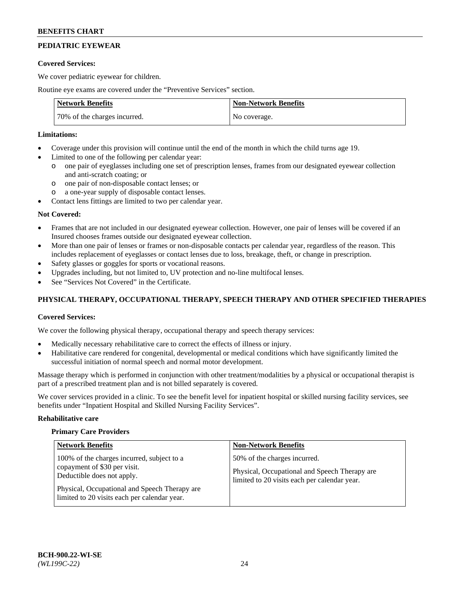# **PEDIATRIC EYEWEAR**

### **Covered Services:**

We cover pediatric eyewear for children.

Routine eye exams are covered under the "Preventive Services" section.

| <b>Network Benefits</b>      | <b>Non-Network Benefits</b> |
|------------------------------|-----------------------------|
| 70% of the charges incurred. | No coverage.                |

### **Limitations:**

- Coverage under this provision will continue until the end of the month in which the child turns age 19.
- Limited to one of the following per calendar year:
	- o one pair of eyeglasses including one set of prescription lenses, frames from our designated eyewear collection and anti-scratch coating; or
	- o one pair of non-disposable contact lenses; or
	- o a one-year supply of disposable contact lenses.
- Contact lens fittings are limited to two per calendar year.

## **Not Covered:**

- Frames that are not included in our designated eyewear collection. However, one pair of lenses will be covered if an Insured chooses frames outside our designated eyewear collection.
- More than one pair of lenses or frames or non-disposable contacts per calendar year, regardless of the reason. This includes replacement of eyeglasses or contact lenses due to loss, breakage, theft, or change in prescription.
- Safety glasses or goggles for sports or vocational reasons.
- Upgrades including, but not limited to, UV protection and no-line multifocal lenses.
- See "Services Not Covered" in the Certificate.

## **PHYSICAL THERAPY, OCCUPATIONAL THERAPY, SPEECH THERAPY AND OTHER SPECIFIED THERAPIES**

## **Covered Services:**

We cover the following physical therapy, occupational therapy and speech therapy services:

- Medically necessary rehabilitative care to correct the effects of illness or injury.
- Habilitative care rendered for congenital, developmental or medical conditions which have significantly limited the successful initiation of normal speech and normal motor development.

Massage therapy which is performed in conjunction with other treatment/modalities by a physical or occupational therapist is part of a prescribed treatment plan and is not billed separately is covered.

We cover services provided in a clinic. To see the benefit level for inpatient hospital or skilled nursing facility services, see benefits under "Inpatient Hospital and Skilled Nursing Facility Services".

#### **Rehabilitative care**

#### **Primary Care Providers**

| <b>Network Benefits</b>                                                                                                                                                                                   | <b>Non-Network Benefits</b>                                                                                                   |
|-----------------------------------------------------------------------------------------------------------------------------------------------------------------------------------------------------------|-------------------------------------------------------------------------------------------------------------------------------|
| 100% of the charges incurred, subject to a<br>copayment of \$30 per visit.<br>Deductible does not apply.<br>Physical, Occupational and Speech Therapy are<br>limited to 20 visits each per calendar year. | 50% of the charges incurred.<br>Physical, Occupational and Speech Therapy are<br>limited to 20 visits each per calendar year. |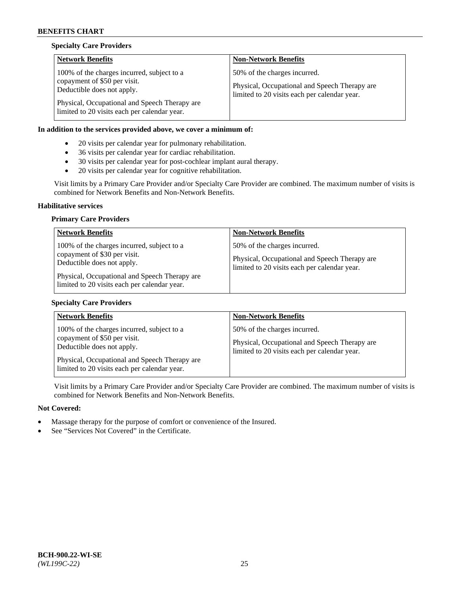## **Specialty Care Providers**

| <b>Network Benefits</b>                                                                                                                                                                                   | <b>Non-Network Benefits</b>                                                                                                   |
|-----------------------------------------------------------------------------------------------------------------------------------------------------------------------------------------------------------|-------------------------------------------------------------------------------------------------------------------------------|
| 100% of the charges incurred, subject to a<br>copayment of \$50 per visit.<br>Deductible does not apply.<br>Physical, Occupational and Speech Therapy are<br>limited to 20 visits each per calendar year. | 50% of the charges incurred.<br>Physical, Occupational and Speech Therapy are<br>limited to 20 visits each per calendar year. |

## **In addition to the services provided above, we cover a minimum of:**

- 20 visits per calendar year for pulmonary rehabilitation.
- 36 visits per calendar year for cardiac rehabilitation.
- 30 visits per calendar year for post-cochlear implant aural therapy.
- 20 visits per calendar year for cognitive rehabilitation.

Visit limits by a Primary Care Provider and/or Specialty Care Provider are combined. The maximum number of visits is combined for Network Benefits and Non-Network Benefits.

#### **Habilitative services**

### **Primary Care Providers**

| <b>Network Benefits</b>                                                                                                                                                                                   | <b>Non-Network Benefits</b>                                                                                                   |
|-----------------------------------------------------------------------------------------------------------------------------------------------------------------------------------------------------------|-------------------------------------------------------------------------------------------------------------------------------|
| 100% of the charges incurred, subject to a<br>copayment of \$30 per visit.<br>Deductible does not apply.<br>Physical, Occupational and Speech Therapy are<br>limited to 20 visits each per calendar year. | 50% of the charges incurred.<br>Physical, Occupational and Speech Therapy are<br>limited to 20 visits each per calendar year. |

## **Specialty Care Providers**

| <b>Network Benefits</b>                                                                                                                                   | <b>Non-Network Benefits</b>                                                                                                   |
|-----------------------------------------------------------------------------------------------------------------------------------------------------------|-------------------------------------------------------------------------------------------------------------------------------|
| 100% of the charges incurred, subject to a<br>copayment of \$50 per visit.<br>Deductible does not apply.<br>Physical, Occupational and Speech Therapy are | 50% of the charges incurred.<br>Physical, Occupational and Speech Therapy are<br>limited to 20 visits each per calendar year. |
| limited to 20 visits each per calendar year.                                                                                                              |                                                                                                                               |

Visit limits by a Primary Care Provider and/or Specialty Care Provider are combined. The maximum number of visits is combined for Network Benefits and Non-Network Benefits.

- Massage therapy for the purpose of comfort or convenience of the Insured.
- See "Services Not Covered" in the Certificate.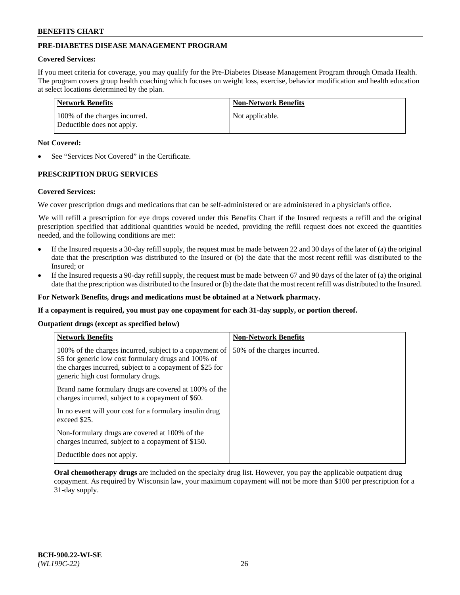## **PRE-DIABETES DISEASE MANAGEMENT PROGRAM**

### **Covered Services:**

If you meet criteria for coverage, you may qualify for the Pre-Diabetes Disease Management Program through Omada Health. The program covers group health coaching which focuses on weight loss, exercise, behavior modification and health education at select locations determined by the plan.

| <b>Network Benefits</b>                                     | <b>Non-Network Benefits</b> |
|-------------------------------------------------------------|-----------------------------|
| 100% of the charges incurred.<br>Deductible does not apply. | Not applicable.             |

### **Not Covered:**

See "Services Not Covered" in the Certificate.

## **PRESCRIPTION DRUG SERVICES**

#### **Covered Services:**

We cover prescription drugs and medications that can be self-administered or are administered in a physician's office.

We will refill a prescription for eye drops covered under this Benefits Chart if the Insured requests a refill and the original prescription specified that additional quantities would be needed, providing the refill request does not exceed the quantities needed, and the following conditions are met:

- If the Insured requests a 30-day refill supply, the request must be made between 22 and 30 days of the later of (a) the original date that the prescription was distributed to the Insured or (b) the date that the most recent refill was distributed to the Insured; or
- If the Insured requests a 90-day refill supply, the request must be made between 67 and 90 days of the later of (a) the original date that the prescription was distributed to the Insured or (b) the date that the most recent refill was distributed to the Insured.

#### **For Network Benefits, drugs and medications must be obtained at a Network pharmacy.**

**If a copayment is required, you must pay one copayment for each 31-day supply, or portion thereof.**

**Outpatient drugs (except as specified below)**

| <b>Network Benefits</b>                                                                                                                                                                                           | <b>Non-Network Benefits</b>  |
|-------------------------------------------------------------------------------------------------------------------------------------------------------------------------------------------------------------------|------------------------------|
| 100% of the charges incurred, subject to a copayment of<br>\$5 for generic low cost formulary drugs and 100% of<br>the charges incurred, subject to a copayment of \$25 for<br>generic high cost formulary drugs. | 50% of the charges incurred. |
| Brand name formulary drugs are covered at 100% of the<br>charges incurred, subject to a copayment of \$60.                                                                                                        |                              |
| In no event will your cost for a formulary insulin drug<br>exceed \$25.                                                                                                                                           |                              |
| Non-formulary drugs are covered at 100% of the<br>charges incurred, subject to a copayment of \$150.                                                                                                              |                              |
| Deductible does not apply.                                                                                                                                                                                        |                              |

**Oral chemotherapy drugs** are included on the specialty drug list. However, you pay the applicable outpatient drug copayment. As required by Wisconsin law, your maximum copayment will not be more than \$100 per prescription for a 31-day supply.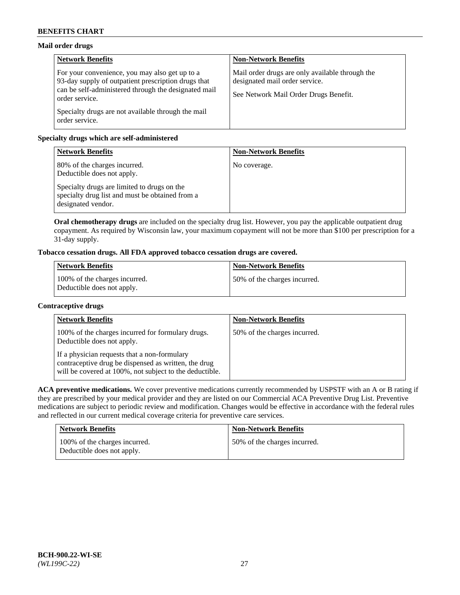## **Mail order drugs**

| <b>Network Benefits</b>                                                                                                                                                         | <b>Non-Network Benefits</b>                                                                                                |
|---------------------------------------------------------------------------------------------------------------------------------------------------------------------------------|----------------------------------------------------------------------------------------------------------------------------|
| For your convenience, you may also get up to a<br>93-day supply of outpatient prescription drugs that<br>can be self-administered through the designated mail<br>order service. | Mail order drugs are only available through the<br>designated mail order service.<br>See Network Mail Order Drugs Benefit. |
| Specialty drugs are not available through the mail<br>order service.                                                                                                            |                                                                                                                            |

## **Specialty drugs which are self-administered**

| <b>Network Benefits</b>                                                                                              | <b>Non-Network Benefits</b> |
|----------------------------------------------------------------------------------------------------------------------|-----------------------------|
| 80% of the charges incurred.<br>Deductible does not apply.                                                           | No coverage.                |
| Specialty drugs are limited to drugs on the<br>specialty drug list and must be obtained from a<br>designated vendor. |                             |

**Oral chemotherapy drugs** are included on the specialty drug list. However, you pay the applicable outpatient drug copayment. As required by Wisconsin law, your maximum copayment will not be more than \$100 per prescription for a 31-day supply.

# **Tobacco cessation drugs. All FDA approved tobacco cessation drugs are covered.**

| <b>Network Benefits</b>                                     | <b>Non-Network Benefits</b>  |
|-------------------------------------------------------------|------------------------------|
| 100% of the charges incurred.<br>Deductible does not apply. | 50% of the charges incurred. |

## **Contraceptive drugs**

| <b>Network Benefits</b>                                                                                                                                         | <b>Non-Network Benefits</b>  |
|-----------------------------------------------------------------------------------------------------------------------------------------------------------------|------------------------------|
| 100% of the charges incurred for formulary drugs.<br>Deductible does not apply.                                                                                 | 50% of the charges incurred. |
| If a physician requests that a non-formulary<br>contraceptive drug be dispensed as written, the drug<br>will be covered at 100%, not subject to the deductible. |                              |

**ACA preventive medications.** We cover preventive medications currently recommended by USPSTF with an A or B rating if they are prescribed by your medical provider and they are listed on our Commercial ACA Preventive Drug List. Preventive medications are subject to periodic review and modification. Changes would be effective in accordance with the federal rules and reflected in our current medical coverage criteria for preventive care services.

| <b>Network Benefits</b>                                     | <b>Non-Network Benefits</b>  |
|-------------------------------------------------------------|------------------------------|
| 100% of the charges incurred.<br>Deductible does not apply. | 50% of the charges incurred. |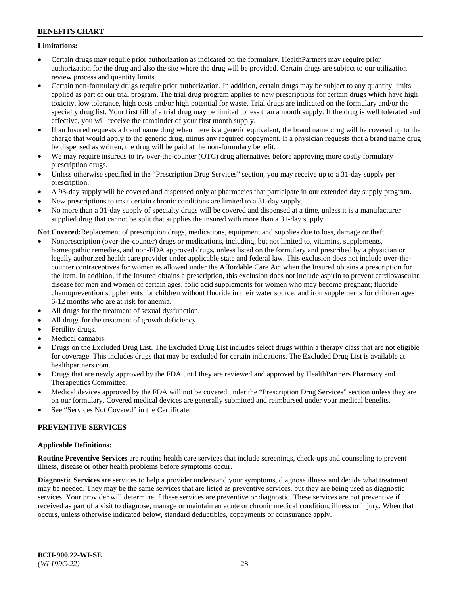## **Limitations:**

- Certain drugs may require prior authorization as indicated on the formulary. HealthPartners may require prior authorization for the drug and also the site where the drug will be provided. Certain drugs are subject to our utilization review process and quantity limits.
- Certain non-formulary drugs require prior authorization. In addition, certain drugs may be subject to any quantity limits applied as part of our trial program. The trial drug program applies to new prescriptions for certain drugs which have high toxicity, low tolerance, high costs and/or high potential for waste. Trial drugs are indicated on the formulary and/or the specialty drug list. Your first fill of a trial drug may be limited to less than a month supply. If the drug is well tolerated and effective, you will receive the remainder of your first month supply.
- If an Insured requests a brand name drug when there is a generic equivalent, the brand name drug will be covered up to the charge that would apply to the generic drug, minus any required copayment. If a physician requests that a brand name drug be dispensed as written, the drug will be paid at the non-formulary benefit.
- We may require insureds to try over-the-counter (OTC) drug alternatives before approving more costly formulary prescription drugs.
- Unless otherwise specified in the "Prescription Drug Services" section, you may receive up to a 31-day supply per prescription.
- A 93-day supply will be covered and dispensed only at pharmacies that participate in our extended day supply program.
- New prescriptions to treat certain chronic conditions are limited to a 31-day supply.
- No more than a 31-day supply of specialty drugs will be covered and dispensed at a time, unless it is a manufacturer supplied drug that cannot be split that supplies the insured with more than a 31-day supply.

**Not Covered:**Replacement of prescription drugs, medications, equipment and supplies due to loss, damage or theft.

- Nonprescription (over-the-counter) drugs or medications, including, but not limited to, vitamins, supplements, homeopathic remedies, and non-FDA approved drugs, unless listed on the formulary and prescribed by a physician or legally authorized health care provider under applicable state and federal law. This exclusion does not include over-thecounter contraceptives for women as allowed under the Affordable Care Act when the Insured obtains a prescription for the item. In addition, if the Insured obtains a prescription, this exclusion does not include aspirin to prevent cardiovascular disease for men and women of certain ages; folic acid supplements for women who may become pregnant; fluoride chemoprevention supplements for children without fluoride in their water source; and iron supplements for children ages 6-12 months who are at risk for anemia.
- All drugs for the treatment of sexual dysfunction.
- All drugs for the treatment of growth deficiency.
- Fertility drugs.
- Medical cannabis.
- Drugs on the Excluded Drug List. The Excluded Drug List includes select drugs within a therapy class that are not eligible for coverage. This includes drugs that may be excluded for certain indications. The Excluded Drug List is available at [healthpartners.com.](http://www.healthpartners.com/)
- Drugs that are newly approved by the FDA until they are reviewed and approved by HealthPartners Pharmacy and Therapeutics Committee.
- Medical devices approved by the FDA will not be covered under the "Prescription Drug Services" section unless they are on our formulary. Covered medical devices are generally submitted and reimbursed under your medical benefits.
- See "Services Not Covered" in the Certificate.

## **PREVENTIVE SERVICES**

## **Applicable Definitions:**

**Routine Preventive Services** are routine health care services that include screenings, check-ups and counseling to prevent illness, disease or other health problems before symptoms occur.

**Diagnostic Services** are services to help a provider understand your symptoms, diagnose illness and decide what treatment may be needed. They may be the same services that are listed as preventive services, but they are being used as diagnostic services. Your provider will determine if these services are preventive or diagnostic. These services are not preventive if received as part of a visit to diagnose, manage or maintain an acute or chronic medical condition, illness or injury. When that occurs, unless otherwise indicated below, standard deductibles, copayments or coinsurance apply.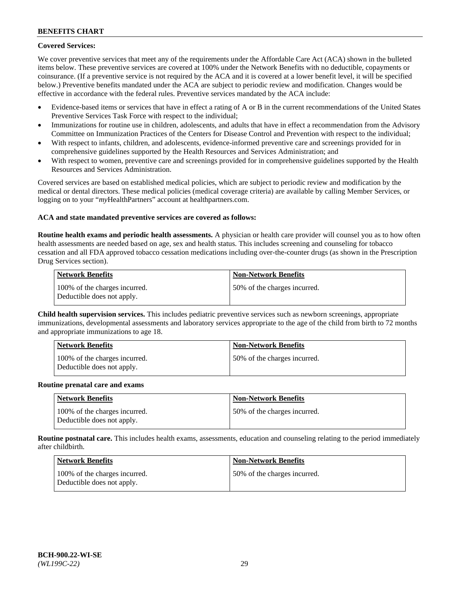## **Covered Services:**

We cover preventive services that meet any of the requirements under the Affordable Care Act (ACA) shown in the bulleted items below. These preventive services are covered at 100% under the Network Benefits with no deductible, copayments or coinsurance. (If a preventive service is not required by the ACA and it is covered at a lower benefit level, it will be specified below.) Preventive benefits mandated under the ACA are subject to periodic review and modification. Changes would be effective in accordance with the federal rules. Preventive services mandated by the ACA include:

- Evidence-based items or services that have in effect a rating of A or B in the current recommendations of the United States Preventive Services Task Force with respect to the individual;
- Immunizations for routine use in children, adolescents, and adults that have in effect a recommendation from the Advisory Committee on Immunization Practices of the Centers for Disease Control and Prevention with respect to the individual;
- With respect to infants, children, and adolescents, evidence-informed preventive care and screenings provided for in comprehensive guidelines supported by the Health Resources and Services Administration; and
- With respect to women, preventive care and screenings provided for in comprehensive guidelines supported by the Health Resources and Services Administration.

Covered services are based on established medical policies, which are subject to periodic review and modification by the medical or dental directors. These medical policies (medical coverage criteria) are available by calling Member Services, or logging on to your "*my*HealthPartners" account at [healthpartners.com.](https://www.healthpartners.com/hp/index.html)

## **ACA and state mandated preventive services are covered as follows:**

**Routine health exams and periodic health assessments.** A physician or health care provider will counsel you as to how often health assessments are needed based on age, sex and health status. This includes screening and counseling for tobacco cessation and all FDA approved tobacco cessation medications including over-the-counter drugs (as shown in the Prescription Drug Services section).

| Network Benefits                                            | <b>Non-Network Benefits</b>   |
|-------------------------------------------------------------|-------------------------------|
| 100% of the charges incurred.<br>Deductible does not apply. | 150% of the charges incurred. |

**Child health supervision services.** This includes pediatric preventive services such as newborn screenings, appropriate immunizations, developmental assessments and laboratory services appropriate to the age of the child from birth to 72 months and appropriate immunizations to age 18.

| <b>Network Benefits</b>                                     | <b>Non-Network Benefits</b>  |
|-------------------------------------------------------------|------------------------------|
| 100% of the charges incurred.<br>Deductible does not apply. | 50% of the charges incurred. |

#### **Routine prenatal care and exams**

| <b>Network Benefits</b>                                     | <b>Non-Network Benefits</b>   |
|-------------------------------------------------------------|-------------------------------|
| 100% of the charges incurred.<br>Deductible does not apply. | 150% of the charges incurred. |

**Routine postnatal care.** This includes health exams, assessments, education and counseling relating to the period immediately after childbirth.

| Network Benefits                                            | <b>Non-Network Benefits</b>  |
|-------------------------------------------------------------|------------------------------|
| 100% of the charges incurred.<br>Deductible does not apply. | 50% of the charges incurred. |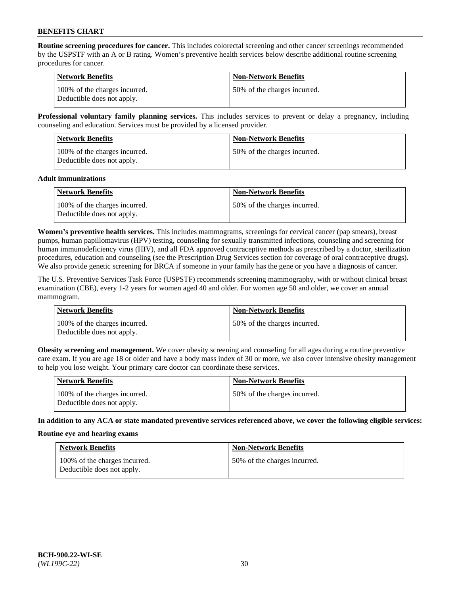**Routine screening procedures for cancer.** This includes colorectal screening and other cancer screenings recommended by the USPSTF with an A or B rating. Women's preventive health services below describe additional routine screening procedures for cancer.

| <b>Network Benefits</b>                                     | <b>Non-Network Benefits</b>   |
|-------------------------------------------------------------|-------------------------------|
| 100% of the charges incurred.<br>Deductible does not apply. | 150% of the charges incurred. |

**Professional voluntary family planning services.** This includes services to prevent or delay a pregnancy, including counseling and education. Services must be provided by a licensed provider.

| <b>Network Benefits</b>                                     | <b>Non-Network Benefits</b>  |
|-------------------------------------------------------------|------------------------------|
| 100% of the charges incurred.<br>Deductible does not apply. | 50% of the charges incurred. |

#### **Adult immunizations**

| <b>Network Benefits</b>                                     | <b>Non-Network Benefits</b>  |
|-------------------------------------------------------------|------------------------------|
| 100% of the charges incurred.<br>Deductible does not apply. | 50% of the charges incurred. |

**Women's preventive health services.** This includes mammograms, screenings for cervical cancer (pap smears), breast pumps, human papillomavirus (HPV) testing, counseling for sexually transmitted infections, counseling and screening for human immunodeficiency virus (HIV), and all FDA approved contraceptive methods as prescribed by a doctor, sterilization procedures, education and counseling (see the Prescription Drug Services section for coverage of oral contraceptive drugs). We also provide genetic screening for BRCA if someone in your family has the gene or you have a diagnosis of cancer.

The U.S. Preventive Services Task Force (USPSTF) recommends screening mammography, with or without clinical breast examination (CBE), every 1-2 years for women aged 40 and older. For women age 50 and older, we cover an annual mammogram.

| <b>Network Benefits</b>                                     | <b>Non-Network Benefits</b>   |
|-------------------------------------------------------------|-------------------------------|
| 100% of the charges incurred.<br>Deductible does not apply. | 150% of the charges incurred. |

**Obesity screening and management.** We cover obesity screening and counseling for all ages during a routine preventive care exam. If you are age 18 or older and have a body mass index of 30 or more, we also cover intensive obesity management to help you lose weight. Your primary care doctor can coordinate these services.

| Network Benefits                                            | <b>Non-Network Benefits</b>  |
|-------------------------------------------------------------|------------------------------|
| 100% of the charges incurred.<br>Deductible does not apply. | 50% of the charges incurred. |

**In addition to any ACA or state mandated preventive services referenced above, we cover the following eligible services:**

#### **Routine eye and hearing exams**

| <b>Network Benefits</b>                                     | <b>Non-Network Benefits</b>  |
|-------------------------------------------------------------|------------------------------|
| 100% of the charges incurred.<br>Deductible does not apply. | 50% of the charges incurred. |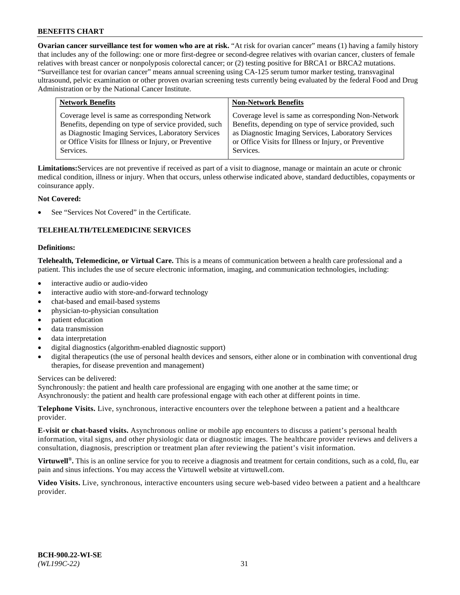**Ovarian cancer surveillance test for women who are at risk.** "At risk for ovarian cancer" means (1) having a family history that includes any of the following: one or more first-degree or second-degree relatives with ovarian cancer, clusters of female relatives with breast cancer or nonpolyposis colorectal cancer; or (2) testing positive for BRCA1 or BRCA2 mutations. "Surveillance test for ovarian cancer" means annual screening using CA-125 serum tumor marker testing, transvaginal ultrasound, pelvic examination or other proven ovarian screening tests currently being evaluated by the federal Food and Drug Administration or by the National Cancer Institute.

| <b>Network Benefits</b>                               | <b>Non-Network Benefits</b>                           |
|-------------------------------------------------------|-------------------------------------------------------|
| Coverage level is same as corresponding Network       | Coverage level is same as corresponding Non-Network   |
| Benefits, depending on type of service provided, such | Benefits, depending on type of service provided, such |
| as Diagnostic Imaging Services, Laboratory Services   | as Diagnostic Imaging Services, Laboratory Services   |
| or Office Visits for Illness or Injury, or Preventive | or Office Visits for Illness or Injury, or Preventive |
| Services.                                             | Services.                                             |

**Limitations:**Services are not preventive if received as part of a visit to diagnose, manage or maintain an acute or chronic medical condition, illness or injury. When that occurs, unless otherwise indicated above, standard deductibles, copayments or coinsurance apply.

## **Not Covered:**

See "Services Not Covered" in the Certificate.

## **TELEHEALTH/TELEMEDICINE SERVICES**

#### **Definitions:**

**Telehealth, Telemedicine, or Virtual Care.** This is a means of communication between a health care professional and a patient. This includes the use of secure electronic information, imaging, and communication technologies, including:

- interactive audio or audio-video
- interactive audio with store-and-forward technology
- chat-based and email-based systems
- physician-to-physician consultation
- patient education
- data transmission
- data interpretation
- digital diagnostics (algorithm-enabled diagnostic support)
- digital therapeutics (the use of personal health devices and sensors, either alone or in combination with conventional drug therapies, for disease prevention and management)

Services can be delivered:

Synchronously: the patient and health care professional are engaging with one another at the same time; or Asynchronously: the patient and health care professional engage with each other at different points in time.

**Telephone Visits.** Live, synchronous, interactive encounters over the telephone between a patient and a healthcare provider.

**E-visit or chat-based visits.** Asynchronous online or mobile app encounters to discuss a patient's personal health information, vital signs, and other physiologic data or diagnostic images. The healthcare provider reviews and delivers a consultation, diagnosis, prescription or treatment plan after reviewing the patient's visit information.

**Virtuwell<sup>®</sup>.** This is an online service for you to receive a diagnosis and treatment for certain conditions, such as a cold, flu, ear pain and sinus infections. You may access the Virtuwell website at [virtuwell.com.](https://www.virtuwell.com/)

**Video Visits.** Live, synchronous, interactive encounters using secure web-based video between a patient and a healthcare provider.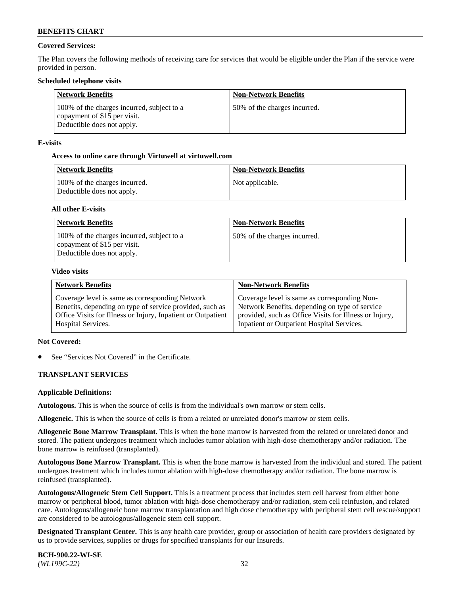## **Covered Services:**

The Plan covers the following methods of receiving care for services that would be eligible under the Plan if the service were provided in person.

### **Scheduled telephone visits**

| <b>Network Benefits</b>                                                                                  | <b>Non-Network Benefits</b>  |
|----------------------------------------------------------------------------------------------------------|------------------------------|
| 100% of the charges incurred, subject to a<br>copayment of \$15 per visit.<br>Deductible does not apply. | 50% of the charges incurred. |

### **E-visits**

### **Access to online care through Virtuwell at [virtuwell.com](https://www.virtuwell.com/)**

| Network Benefits                                            | <b>Non-Network Benefits</b> |
|-------------------------------------------------------------|-----------------------------|
| 100% of the charges incurred.<br>Deductible does not apply. | Not applicable.             |

### **All other E-visits**

| <b>Network Benefits</b>                                                                                  | <b>Non-Network Benefits</b>  |
|----------------------------------------------------------------------------------------------------------|------------------------------|
| 100% of the charges incurred, subject to a<br>copayment of \$15 per visit.<br>Deductible does not apply. | 50% of the charges incurred. |

#### **Video visits**

| <b>Network Benefits</b>                                      | <b>Non-Network Benefits</b>                            |
|--------------------------------------------------------------|--------------------------------------------------------|
| Coverage level is same as corresponding Network              | Coverage level is same as corresponding Non-           |
| Benefits, depending on type of service provided, such as     | Network Benefits, depending on type of service         |
| Office Visits for Illness or Injury, Inpatient or Outpatient | provided, such as Office Visits for Illness or Injury, |
| <b>Hospital Services.</b>                                    | Inpatient or Outpatient Hospital Services.             |

## **Not Covered:**

See "Services Not Covered" in the Certificate.

## **TRANSPLANT SERVICES**

#### **Applicable Definitions:**

**Autologous.** This is when the source of cells is from the individual's own marrow or stem cells.

**Allogeneic.** This is when the source of cells is from a related or unrelated donor's marrow or stem cells.

**Allogeneic Bone Marrow Transplant.** This is when the bone marrow is harvested from the related or unrelated donor and stored. The patient undergoes treatment which includes tumor ablation with high-dose chemotherapy and/or radiation. The bone marrow is reinfused (transplanted).

**Autologous Bone Marrow Transplant.** This is when the bone marrow is harvested from the individual and stored. The patient undergoes treatment which includes tumor ablation with high-dose chemotherapy and/or radiation. The bone marrow is reinfused (transplanted).

**Autologous/Allogeneic Stem Cell Support.** This is a treatment process that includes stem cell harvest from either bone marrow or peripheral blood, tumor ablation with high-dose chemotherapy and/or radiation, stem cell reinfusion, and related care. Autologous/allogeneic bone marrow transplantation and high dose chemotherapy with peripheral stem cell rescue/support are considered to be autologous/allogeneic stem cell support.

**Designated Transplant Center.** This is any health care provider, group or association of health care providers designated by us to provide services, supplies or drugs for specified transplants for our Insureds.

**BCH-900.22-WI-SE**  *(WL199C-22)* 32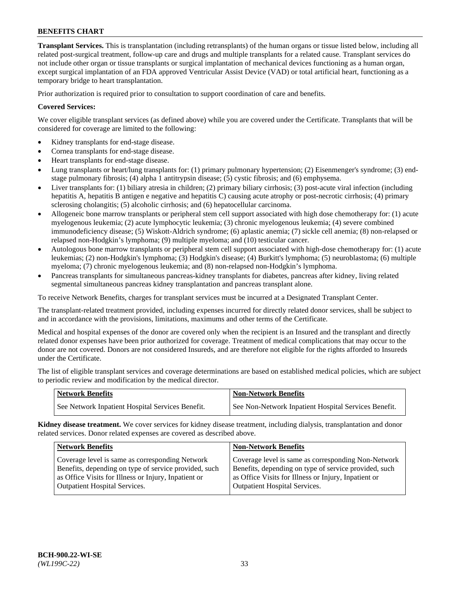**Transplant Services.** This is transplantation (including retransplants) of the human organs or tissue listed below, including all related post-surgical treatment, follow-up care and drugs and multiple transplants for a related cause. Transplant services do not include other organ or tissue transplants or surgical implantation of mechanical devices functioning as a human organ, except surgical implantation of an FDA approved Ventricular Assist Device (VAD) or total artificial heart, functioning as a temporary bridge to heart transplantation.

Prior authorization is required prior to consultation to support coordination of care and benefits.

### **Covered Services:**

We cover eligible transplant services (as defined above) while you are covered under the Certificate. Transplants that will be considered for coverage are limited to the following:

- Kidney transplants for end-stage disease.
- Cornea transplants for end-stage disease.
- Heart transplants for end-stage disease.
- Lung transplants or heart/lung transplants for: (1) primary pulmonary hypertension; (2) Eisenmenger's syndrome; (3) endstage pulmonary fibrosis; (4) alpha 1 antitrypsin disease; (5) cystic fibrosis; and (6) emphysema.
- Liver transplants for: (1) biliary atresia in children; (2) primary biliary cirrhosis; (3) post-acute viral infection (including hepatitis A, hepatitis B antigen e negative and hepatitis C) causing acute atrophy or post-necrotic cirrhosis; (4) primary sclerosing cholangitis; (5) alcoholic cirrhosis; and (6) hepatocellular carcinoma.
- Allogeneic bone marrow transplants or peripheral stem cell support associated with high dose chemotherapy for: (1) acute myelogenous leukemia; (2) acute lymphocytic leukemia; (3) chronic myelogenous leukemia; (4) severe combined immunodeficiency disease; (5) Wiskott-Aldrich syndrome; (6) aplastic anemia; (7) sickle cell anemia; (8) non-relapsed or relapsed non-Hodgkin's lymphoma; (9) multiple myeloma; and (10) testicular cancer.
- Autologous bone marrow transplants or peripheral stem cell support associated with high-dose chemotherapy for: (1) acute leukemias; (2) non-Hodgkin's lymphoma; (3) Hodgkin's disease; (4) Burkitt's lymphoma; (5) neuroblastoma; (6) multiple myeloma; (7) chronic myelogenous leukemia; and (8) non-relapsed non-Hodgkin's lymphoma.
- Pancreas transplants for simultaneous pancreas-kidney transplants for diabetes, pancreas after kidney, living related segmental simultaneous pancreas kidney transplantation and pancreas transplant alone.

To receive Network Benefits, charges for transplant services must be incurred at a Designated Transplant Center.

The transplant-related treatment provided, including expenses incurred for directly related donor services, shall be subject to and in accordance with the provisions, limitations, maximums and other terms of the Certificate.

Medical and hospital expenses of the donor are covered only when the recipient is an Insured and the transplant and directly related donor expenses have been prior authorized for coverage. Treatment of medical complications that may occur to the donor are not covered. Donors are not considered Insureds, and are therefore not eligible for the rights afforded to Insureds under the Certificate.

The list of eligible transplant services and coverage determinations are based on established medical policies, which are subject to periodic review and modification by the medical director.

| <b>Network Benefits</b>                          | <b>Non-Network Benefits</b>                          |
|--------------------------------------------------|------------------------------------------------------|
| See Network Inpatient Hospital Services Benefit. | See Non-Network Inpatient Hospital Services Benefit. |

**Kidney disease treatment.** We cover services for kidney disease treatment, including dialysis, transplantation and donor related services. Donor related expenses are covered as described above.

| <b>Network Benefits</b>                               | <b>Non-Network Benefits</b>                           |
|-------------------------------------------------------|-------------------------------------------------------|
| Coverage level is same as corresponding Network       | Coverage level is same as corresponding Non-Network   |
| Benefits, depending on type of service provided, such | Benefits, depending on type of service provided, such |
| as Office Visits for Illness or Injury, Inpatient or  | as Office Visits for Illness or Injury, Inpatient or  |
| <b>Outpatient Hospital Services.</b>                  | <b>Outpatient Hospital Services.</b>                  |